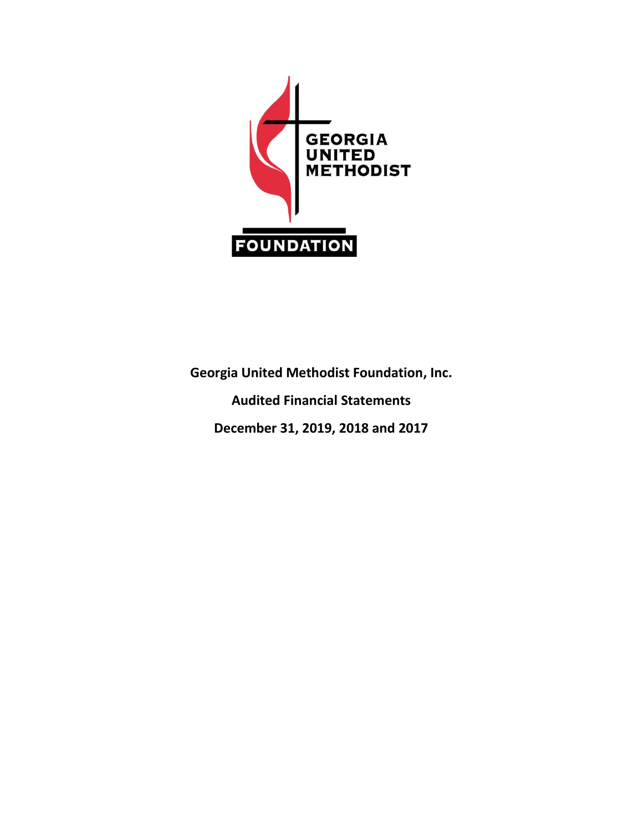

**Georgia United Methodist Foundation, Inc. Audited Financial Statements December 31, 2019, 2018 and 2017**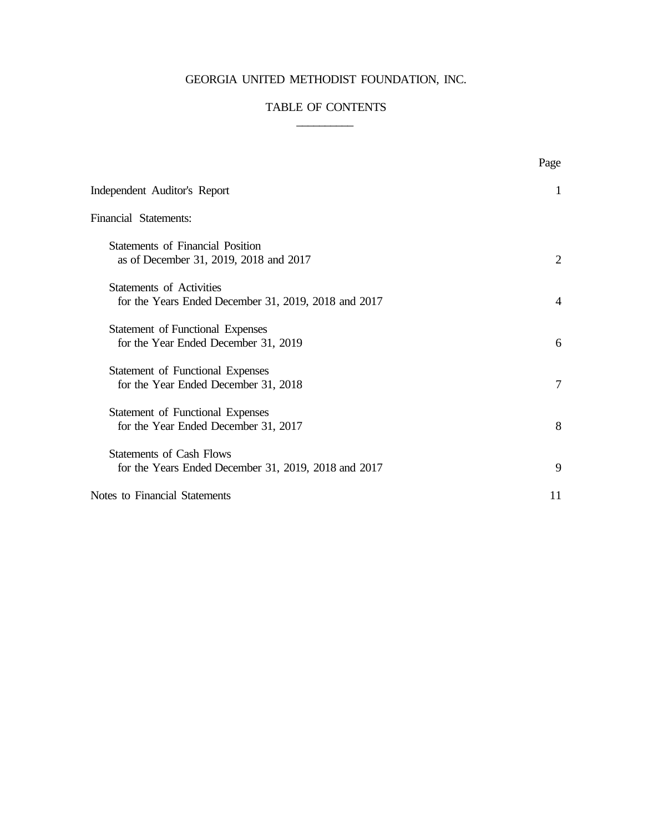# GEORGIA UNITED METHODIST FOUNDATION, INC.

# TABLE OF CONTENTS  $\frac{1}{2}$

|                                                                                         | Page           |
|-----------------------------------------------------------------------------------------|----------------|
| Independent Auditor's Report                                                            | -1             |
| Financial Statements:                                                                   |                |
| <b>Statements of Financial Position</b><br>as of December 31, 2019, 2018 and 2017       | 2              |
| <b>Statements of Activities</b><br>for the Years Ended December 31, 2019, 2018 and 2017 | $\overline{A}$ |
| <b>Statement of Functional Expenses</b><br>for the Year Ended December 31, 2019         | 6              |
| <b>Statement of Functional Expenses</b><br>for the Year Ended December 31, 2018         | 7              |
| <b>Statement of Functional Expenses</b><br>for the Year Ended December 31, 2017         | 8              |
| <b>Statements of Cash Flows</b><br>for the Years Ended December 31, 2019, 2018 and 2017 | 9              |
| Notes to Financial Statements                                                           | 11             |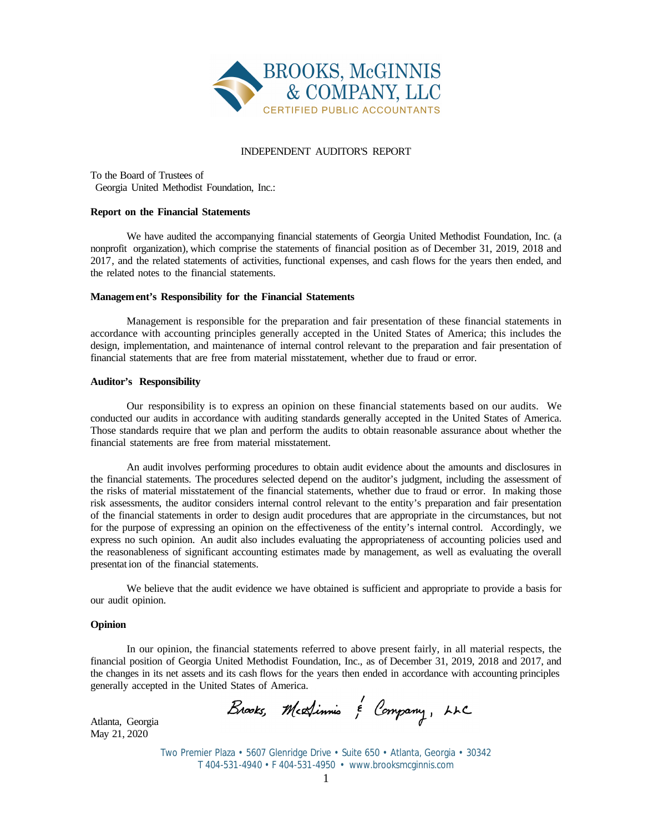

#### INDEPENDENT AUDITOR'S REPORT

To the Board of Trustees of Georgia United Methodist Foundation, Inc.:

#### **Report on the Financial Statements**

We have audited the accompanying financial statements of Georgia United Methodist Foundation, Inc. (a nonprofit organization), which comprise the statements of financial position as of December 31, 2019, 2018 and 2017, and the related statements of activities, functional expenses, and cash flows for the years then ended, and the related notes to the financial statements.

#### **Management's Responsibility for the Financial Statements**

Management is responsible for the preparation and fair presentation of these financial statements in accordance with accounting principles generally accepted in the United States of America; this includes the design, implementation, and maintenance of internal control relevant to the preparation and fair presentation of financial statements that are free from material misstatement, whether due to fraud or error.

#### **Auditor's Responsibility**

Our responsibility is to express an opinion on these financial statements based on our audits. We conducted our audits in accordance with auditing standards generally accepted in the United States of America. Those standards require that we plan and perform the audits to obtain reasonable assurance about whether the financial statements are free from material misstatement.

An audit involves performing procedures to obtain audit evidence about the amounts and disclosures in the financial statements. The procedures selected depend on the auditor's judgment, including the assessment of the risks of material misstatement of the financial statements, whether due to fraud or error. In making those risk assessments, the auditor considers internal control relevant to the entity's preparation and fair presentation of the financial statements in order to design audit procedures that are appropriate in the circumstances, but not for the purpose of expressing an opinion on the effectiveness of the entity's internal control. Accordingly, we express no such opinion. An audit also includes evaluating the appropriateness of accounting policies used and the reasonableness of significant accounting estimates made by management, as well as evaluating the overall presentat ion of the financial statements.

We believe that the audit evidence we have obtained is sufficient and appropriate to provide a basis for our audit opinion.

#### **Opinion**

In our opinion, the financial statements referred to above present fairly, in all material respects, the financial position of Georgia United Methodist Foundation, Inc., as of December 31, 2019, 2018 and 2017, and the changes in its net assets and its cash flows for the years then ended in accordance with accounting principles generally accepted in the United States of America.

Brooks, Medinnis & Company, LLC

Atlanta, Georgia May 21, 2020

> Two Premier Plaza • 5607 Glenridge Drive • Suite 650 • Atlanta, Georgia • 30342 T 404-531-4940 • F 404-531-4950 • www.brooksmcginnis.com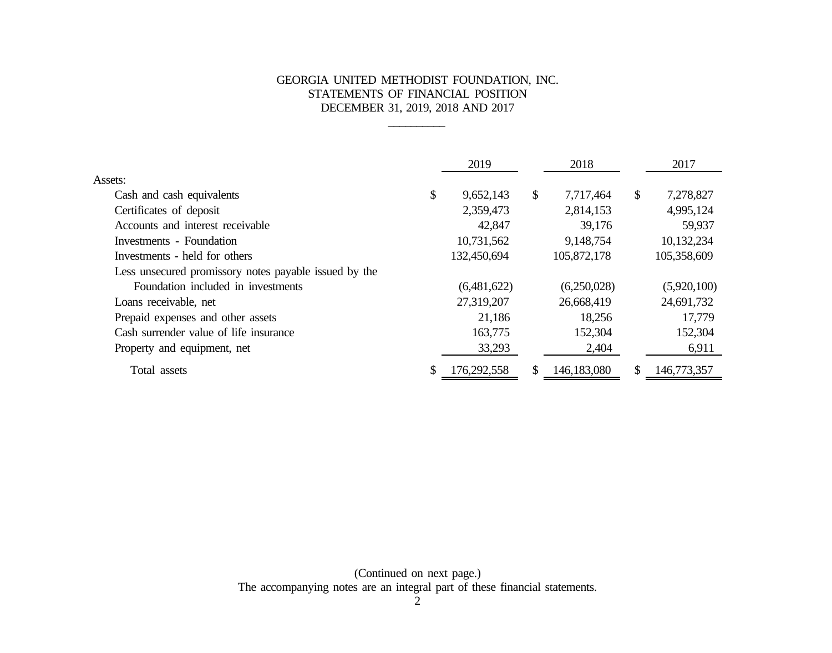# GEORGIA UNITED METHODIST FOUNDATION, INC. STATEMENTS OF FINANCIAL POSITION DECEMBER 31, 2019, 2018 AND 2017

\_\_\_\_\_\_\_\_\_\_

|                                                       |    | 2019        |              | 2018        |    | 2017        |
|-------------------------------------------------------|----|-------------|--------------|-------------|----|-------------|
| Assets:                                               |    |             |              |             |    |             |
| Cash and cash equivalents                             | \$ | 9,652,143   | $\mathbb{S}$ | 7,717,464   | \$ | 7,278,827   |
| Certificates of deposit                               |    | 2,359,473   |              | 2,814,153   |    | 4,995,124   |
| Accounts and interest receivable                      |    | 42,847      |              | 39,176      |    | 59,937      |
| Investments - Foundation                              |    | 10,731,562  |              | 9,148,754   |    | 10,132,234  |
| Investments - held for others                         |    | 132,450,694 |              | 105,872,178 |    | 105,358,609 |
| Less unsecured promissory notes payable issued by the |    |             |              |             |    |             |
| Foundation included in investments                    |    | (6,481,622) |              | (6,250,028) |    | (5,920,100) |
| Loans receivable, net                                 |    | 27,319,207  |              | 26,668,419  |    | 24,691,732  |
| Prepaid expenses and other assets                     |    | 21,186      |              | 18,256      |    | 17,779      |
| Cash surrender value of life insurance                |    | 163,775     |              | 152,304     |    | 152,304     |
| Property and equipment, net                           |    | 33,293      |              | 2,404       |    | 6,911       |
| Total assets                                          | S  | 176,292,558 | \$           | 146,183,080 | S  | 146,773,357 |

(Continued on next page.) The accompanying notes are an integral part of these financial statements.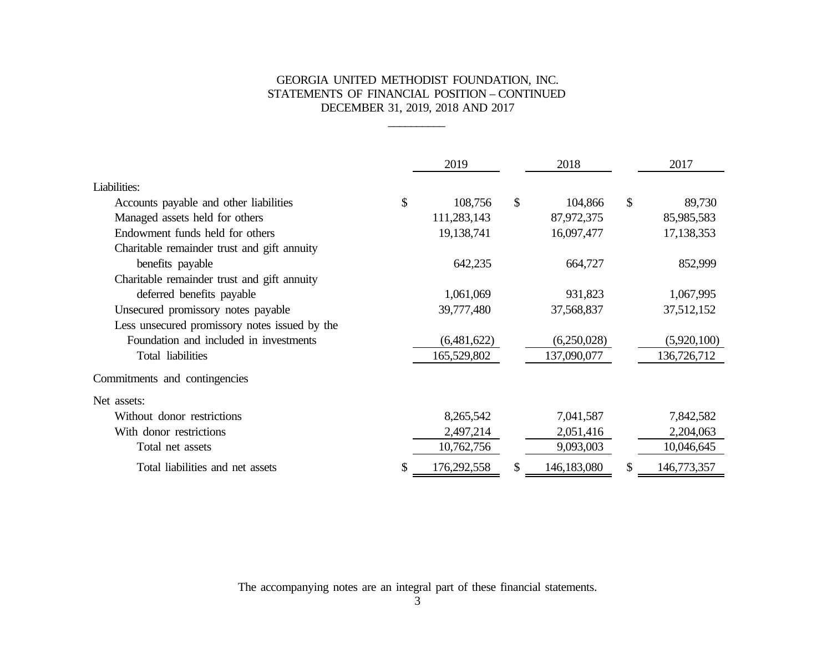## GEORGIA UNITED METHODIST FOUNDATION, INC. STATEMENTS OF FINANCIAL POSITION – CONTINUED DECEMBER 31, 2019, 2018 AND 2017

\_\_\_\_\_\_\_\_\_\_

|                                               | 2019              |              | 2018        |               | 2017        |
|-----------------------------------------------|-------------------|--------------|-------------|---------------|-------------|
| Liabilities:                                  |                   |              |             |               |             |
| Accounts payable and other liabilities        | \$<br>108,756     | $\mathbb{S}$ | 104,866     | $\mathbb{S}$  | 89,730      |
| Managed assets held for others                | 111,283,143       |              | 87,972,375  |               | 85,985,583  |
| Endowment funds held for others               | 19, 138, 741      |              | 16,097,477  |               | 17,138,353  |
| Charitable remainder trust and gift annuity   |                   |              |             |               |             |
| benefits payable                              | 642,235           |              | 664,727     |               | 852,999     |
| Charitable remainder trust and gift annuity   |                   |              |             |               |             |
| deferred benefits payable                     | 1,061,069         |              | 931,823     |               | 1,067,995   |
| Unsecured promissory notes payable            | 39,777,480        |              | 37,568,837  |               | 37,512,152  |
| Less unsecured promissory notes issued by the |                   |              |             |               |             |
| Foundation and included in investments        | (6,481,622)       |              | (6,250,028) |               | (5,920,100) |
| Total liabilities                             | 165,529,802       |              | 137,090,077 |               | 136,726,712 |
| Commitments and contingencies                 |                   |              |             |               |             |
| Net assets:                                   |                   |              |             |               |             |
| Without donor restrictions                    | 8,265,542         |              | 7,041,587   |               | 7,842,582   |
| With donor restrictions                       | 2,497,214         |              | 2,051,416   |               | 2,204,063   |
| Total net assets                              | 10,762,756        |              | 9,093,003   |               | 10,046,645  |
| Total liabilities and net assets              | \$<br>176,292,558 | S.           | 146,183,080 | $\mathcal{S}$ | 146,773,357 |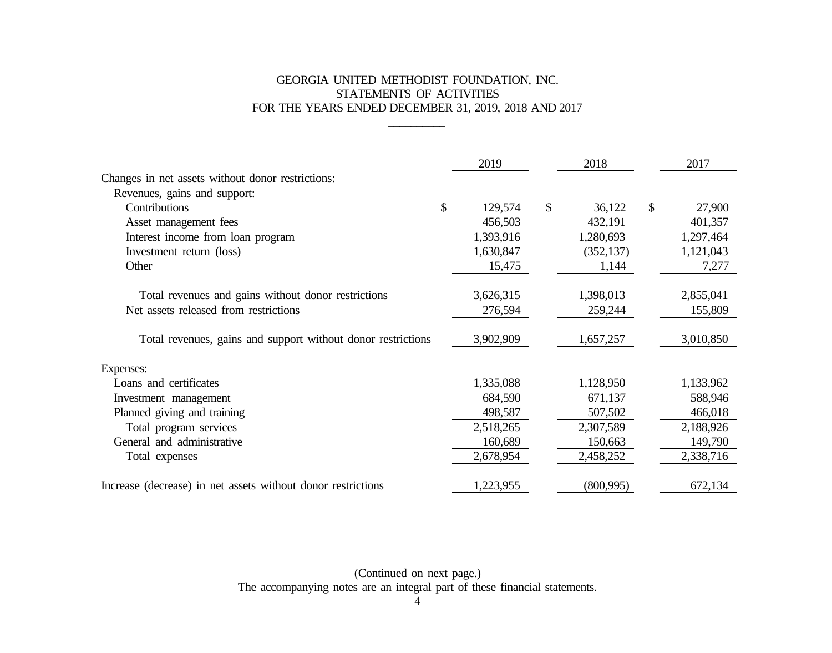# GEORGIA UNITED METHODIST FOUNDATION, INC. STATEMENTS OF ACTIVITIES FOR THE YEARS ENDED DECEMBER 31, 2019, 2018 AND 2017

\_\_\_\_\_\_\_\_\_\_

|                                                              | 2019          | 2018         |               | 2017      |
|--------------------------------------------------------------|---------------|--------------|---------------|-----------|
| Changes in net assets without donor restrictions:            |               |              |               |           |
| Revenues, gains and support:                                 |               |              |               |           |
| Contributions                                                | \$<br>129,574 | \$<br>36,122 | $\mathcal{S}$ | 27,900    |
| Asset management fees                                        | 456,503       | 432,191      |               | 401,357   |
| Interest income from loan program                            | 1,393,916     | 1,280,693    |               | 1,297,464 |
| Investment return (loss)                                     | 1,630,847     | (352, 137)   |               | 1,121,043 |
| Other                                                        | 15,475        | 1,144        |               | 7,277     |
|                                                              |               |              |               |           |
| Total revenues and gains without donor restrictions          | 3,626,315     | 1,398,013    |               | 2,855,041 |
| Net assets released from restrictions                        | 276,594       | 259,244      |               | 155,809   |
| Total revenues, gains and support without donor restrictions | 3,902,909     | 1,657,257    |               | 3,010,850 |
| Expenses:                                                    |               |              |               |           |
| Loans and certificates                                       | 1,335,088     | 1,128,950    |               | 1,133,962 |
| Investment management                                        | 684,590       | 671,137      |               | 588,946   |
| Planned giving and training                                  | 498,587       | 507,502      |               | 466,018   |
| Total program services                                       | 2,518,265     | 2,307,589    |               | 2,188,926 |
| General and administrative                                   | 160,689       | 150,663      |               | 149,790   |
| Total expenses                                               | 2,678,954     | 2,458,252    |               | 2,338,716 |
| Increase (decrease) in net assets without donor restrictions | 1,223,955     | (800, 995)   |               | 672,134   |

(Continued on next page.) The accompanying notes are an integral part of these financial statements.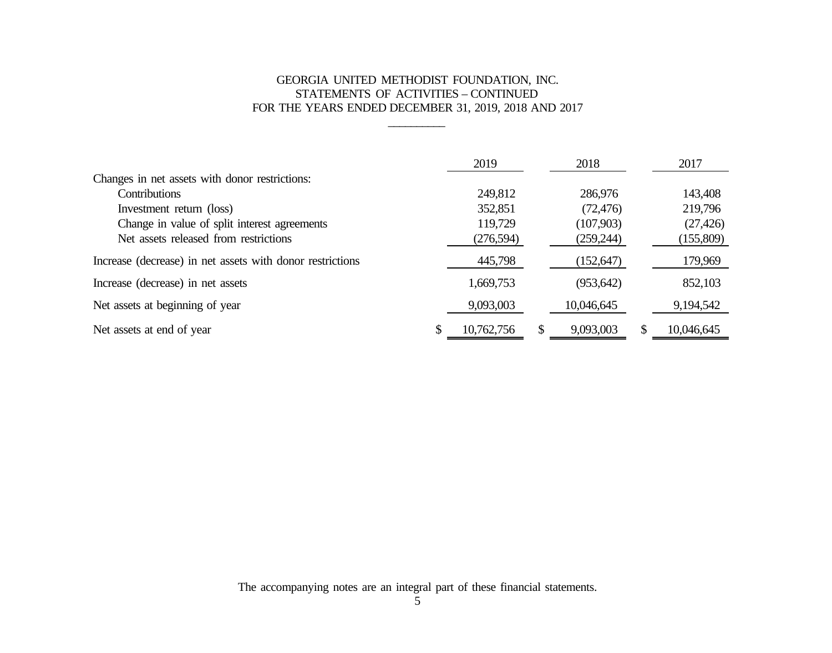# GEORGIA UNITED METHODIST FOUNDATION, INC. STATEMENTS OF ACTIVITIES – CONTINUED FOR THE YEARS ENDED DECEMBER 31, 2019, 2018 AND 2017

\_\_\_\_\_\_\_\_\_\_

|                                                           | 2019             |   | 2018       |               | 2017       |
|-----------------------------------------------------------|------------------|---|------------|---------------|------------|
| Changes in net assets with donor restrictions:            |                  |   |            |               |            |
| Contributions                                             | 249,812          |   | 286,976    |               | 143,408    |
| Investment return (loss)                                  | 352,851          |   | (72, 476)  |               | 219,796    |
| Change in value of split interest agreements              | 119,729          |   | (107,903)  |               | (27, 426)  |
| Net assets released from restrictions                     | (276, 594)       |   | (259, 244) |               | (155,809)  |
| Increase (decrease) in net assets with donor restrictions | 445,798          |   | (152, 647) |               | 179,969    |
| Increase (decrease) in net assets                         | 1,669,753        |   | (953, 642) |               | 852,103    |
| Net assets at beginning of year                           | 9,093,003        |   | 10,046,645 |               | 9,194,542  |
| Net assets at end of year                                 | \$<br>10,762,756 | S | 9,093,003  | <sup>\$</sup> | 10,046,645 |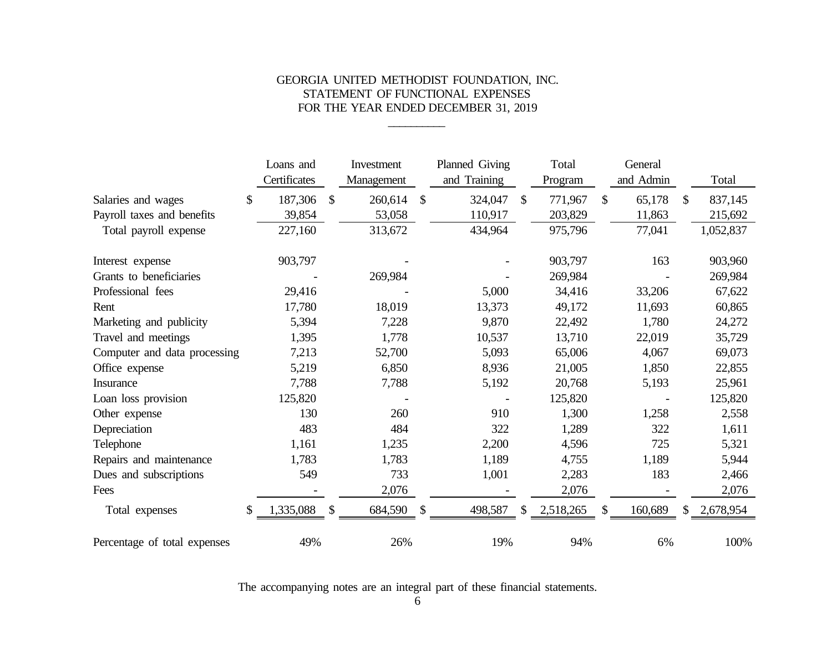# GEORGIA UNITED METHODIST FOUNDATION, INC. STATEMENT OF FUNCTIONAL EXPENSES FOR THE YEAR ENDED DECEMBER 31, 2019

\_\_\_\_\_\_\_\_\_\_

|                              | Loans and       |               | Investment | Planned Giving |              | Total     |               | General   |              |           |
|------------------------------|-----------------|---------------|------------|----------------|--------------|-----------|---------------|-----------|--------------|-----------|
|                              | Certificates    |               | Management | and Training   |              | Program   |               | and Admin |              | Total     |
| Salaries and wages           | \$<br>187,306   | $\mathcal{S}$ | 260,614    | \$<br>324,047  | $\mathbb{S}$ | 771,967   | $\mathcal{S}$ | 65,178    | \$           | 837,145   |
| Payroll taxes and benefits   | 39,854          |               | 53,058     | 110,917        |              | 203,829   |               | 11,863    |              | 215,692   |
| Total payroll expense        | 227,160         |               | 313,672    | 434,964        |              | 975,796   |               | 77,041    |              | 1,052,837 |
| Interest expense             | 903,797         |               |            |                |              | 903,797   |               | 163       |              | 903,960   |
| Grants to beneficiaries      |                 |               | 269,984    |                |              | 269,984   |               |           |              | 269,984   |
| Professional fees            | 29,416          |               |            | 5,000          |              | 34,416    |               | 33,206    |              | 67,622    |
| Rent                         | 17,780          |               | 18,019     | 13,373         |              | 49,172    |               | 11,693    |              | 60,865    |
| Marketing and publicity      | 5,394           |               | 7,228      | 9,870          |              | 22,492    |               | 1,780     |              | 24,272    |
| Travel and meetings          | 1,395           |               | 1,778      | 10,537         |              | 13,710    |               | 22,019    |              | 35,729    |
| Computer and data processing | 7,213           |               | 52,700     | 5,093          |              | 65,006    |               | 4,067     |              | 69,073    |
| Office expense               | 5,219           |               | 6,850      | 8,936          |              | 21,005    |               | 1,850     |              | 22,855    |
| <b>Insurance</b>             | 7,788           |               | 7,788      | 5,192          |              | 20,768    |               | 5,193     |              | 25,961    |
| Loan loss provision          | 125,820         |               |            |                |              | 125,820   |               |           |              | 125,820   |
| Other expense                | 130             |               | 260        | 910            |              | 1,300     |               | 1,258     |              | 2,558     |
| Depreciation                 | 483             |               | 484        | 322            |              | 1,289     |               | 322       |              | 1,611     |
| Telephone                    | 1,161           |               | 1,235      | 2,200          |              | 4,596     |               | 725       |              | 5,321     |
| Repairs and maintenance      | 1,783           |               | 1,783      | 1,189          |              | 4,755     |               | 1,189     |              | 5,944     |
| Dues and subscriptions       | 549             |               | 733        | 1,001          |              | 2,283     |               | 183       |              | 2,466     |
| Fees                         |                 |               | 2,076      |                |              | 2,076     |               |           |              | 2,076     |
| Total expenses               | \$<br>1,335,088 | \$            | 684,590    | \$<br>498,587  | \$           | 2,518,265 | \$            | 160,689   | $\mathbb{S}$ | 2,678,954 |
| Percentage of total expenses | 49%             |               | 26%        | 19%            |              | 94%       |               | 6%        |              | 100%      |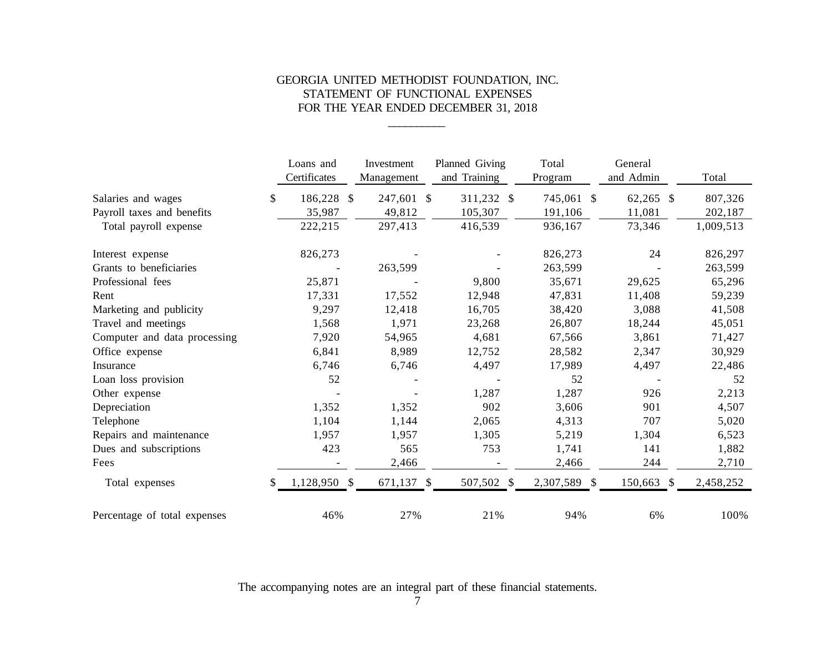# GEORGIA UNITED METHODIST FOUNDATION, INC. STATEMENT OF FUNCTIONAL EXPENSES FOR THE YEAR ENDED DECEMBER 31, 2018

\_\_\_\_\_\_\_\_\_\_

|                              | Loans and<br>Certificates |               | Investment<br>Management | Planned Giving<br>and Training | Total<br>Program | General<br>and Admin | Total     |
|------------------------------|---------------------------|---------------|--------------------------|--------------------------------|------------------|----------------------|-----------|
| Salaries and wages           | \$<br>186,228             | $\mathcal{S}$ | 247,601 \$               | 311,232 \$                     | 745,061 \$       | $62,265$ \$          | 807,326   |
| Payroll taxes and benefits   | 35,987                    |               | 49,812                   | 105,307                        | 191,106          | 11,081               | 202,187   |
| Total payroll expense        | 222,215                   |               | 297,413                  | 416,539                        | 936,167          | 73,346               | 1,009,513 |
| Interest expense             | 826,273                   |               |                          |                                | 826,273          | 24                   | 826,297   |
| Grants to beneficiaries      |                           |               | 263,599                  |                                | 263,599          |                      | 263,599   |
| Professional fees            | 25,871                    |               |                          | 9,800                          | 35,671           | 29,625               | 65,296    |
| Rent                         | 17,331                    |               | 17,552                   | 12,948                         | 47,831           | 11,408               | 59,239    |
| Marketing and publicity      | 9,297                     |               | 12,418                   | 16,705                         | 38,420           | 3,088                | 41,508    |
| Travel and meetings          | 1,568                     |               | 1,971                    | 23,268                         | 26,807           | 18,244               | 45,051    |
| Computer and data processing | 7,920                     |               | 54,965                   | 4,681                          | 67,566           | 3,861                | 71,427    |
| Office expense               | 6,841                     |               | 8,989                    | 12,752                         | 28,582           | 2,347                | 30,929    |
| Insurance                    | 6,746                     |               | 6,746                    | 4,497                          | 17,989           | 4,497                | 22,486    |
| Loan loss provision          | 52                        |               |                          |                                | 52               |                      | 52        |
| Other expense                |                           |               |                          | 1,287                          | 1,287            | 926                  | 2,213     |
| Depreciation                 | 1,352                     |               | 1,352                    | 902                            | 3,606            | 901                  | 4,507     |
| Telephone                    | 1,104                     |               | 1,144                    | 2,065                          | 4,313            | 707                  | 5,020     |
| Repairs and maintenance      | 1,957                     |               | 1,957                    | 1,305                          | 5,219            | 1,304                | 6,523     |
| Dues and subscriptions       | 423                       |               | 565                      | 753                            | 1,741            | 141                  | 1,882     |
| Fees                         |                           |               | 2,466                    |                                | 2,466            | 244                  | 2,710     |
| Total expenses               | \$<br>1,128,950 \$        |               | 671,137 \$               | 507,502 \$                     | 2,307,589 \$     | 150,663 \$           | 2,458,252 |
| Percentage of total expenses | 46%                       |               | 27%                      | 21%                            | 94%              | 6%                   | 100%      |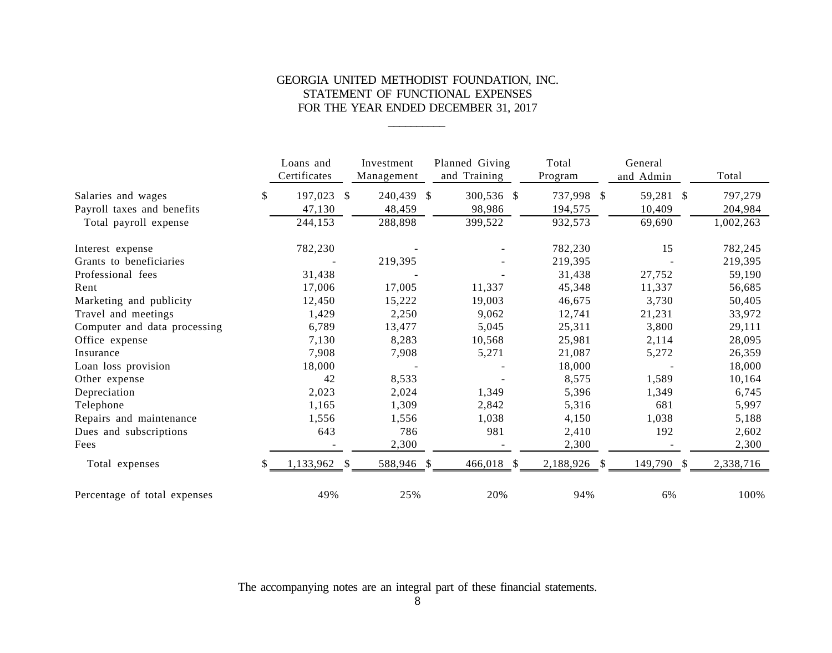# GEORGIA UNITED METHODIST FOUNDATION, INC. STATEMENT OF FUNCTIONAL EXPENSES FOR THE YEAR ENDED DECEMBER 31, 2017

\_\_\_\_\_\_\_\_\_\_

|                              | Loans and<br>Certificates | Investment<br>Management   | Planned Giving<br>and Training | Total<br>Program | General<br>and Admin | Total     |
|------------------------------|---------------------------|----------------------------|--------------------------------|------------------|----------------------|-----------|
| Salaries and wages           | \$<br>197,023             | 240,439 \$<br>$\mathbb{S}$ | 300,536 \$                     | 737,998 \$       | 59,281 \$            | 797,279   |
| Payroll taxes and benefits   | 47,130                    | 48,459                     | 98,986                         | 194,575          | 10,409               | 204,984   |
| Total payroll expense        | 244,153                   | 288,898                    | 399,522                        | 932,573          | 69,690               | 1,002,263 |
| Interest expense             | 782,230                   |                            |                                | 782,230          | 15                   | 782,245   |
| Grants to beneficiaries      |                           | 219,395                    |                                | 219,395          |                      | 219,395   |
| Professional fees            | 31,438                    |                            |                                | 31,438           | 27,752               | 59,190    |
| Rent                         | 17,006                    | 17,005                     | 11,337                         | 45,348           | 11,337               | 56,685    |
| Marketing and publicity      | 12,450                    | 15,222                     | 19,003                         | 46,675           | 3,730                | 50,405    |
| Travel and meetings          | 1,429                     | 2,250                      | 9,062                          | 12,741           | 21,231               | 33,972    |
| Computer and data processing | 6,789                     | 13,477                     | 5,045                          | 25,311           | 3,800                | 29,111    |
| Office expense               | 7,130                     | 8,283                      | 10,568                         | 25,981           | 2,114                | 28,095    |
| Insurance                    | 7,908                     | 7,908                      | 5,271                          | 21,087           | 5,272                | 26,359    |
| Loan loss provision          | 18,000                    |                            |                                | 18,000           |                      | 18,000    |
| Other expense                | 42                        | 8,533                      |                                | 8,575            | 1,589                | 10,164    |
| Depreciation                 | 2,023                     | 2,024                      | 1,349                          | 5,396            | 1,349                | 6,745     |
| Telephone                    | 1,165                     | 1,309                      | 2,842                          | 5,316            | 681                  | 5,997     |
| Repairs and maintenance      | 1,556                     | 1,556                      | 1,038                          | 4,150            | 1,038                | 5,188     |
| Dues and subscriptions       | 643                       | 786                        | 981                            | 2,410            | 192                  | 2,602     |
| Fees                         |                           | 2,300                      |                                | 2,300            |                      | 2,300     |
| Total expenses               | \$<br>1,133,962 \$        | 588,946 \$                 | 466,018 \$                     | 2,188,926 \$     | 149,790 \$           | 2,338,716 |
| Percentage of total expenses | 49%                       | 25%                        | 20%                            | 94%              | 6%                   | 100%      |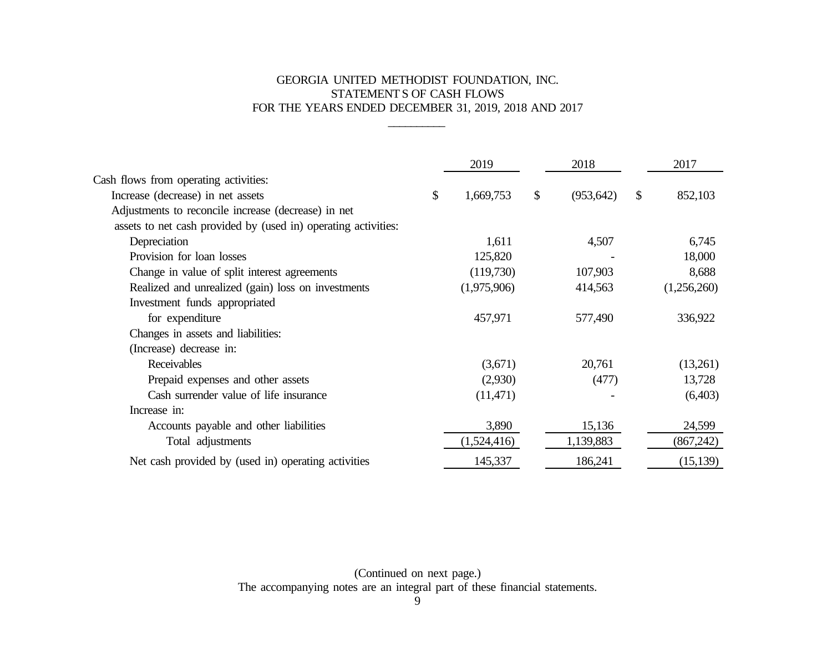# GEORGIA UNITED METHODIST FOUNDATION, INC. STATEMENTS OF CASH FLOWS FOR THE YEARS ENDED DECEMBER 31, 2019, 2018 AND 2017

\_\_\_\_\_\_\_\_\_\_

|                                                                | 2019            | 2018             |              | 2017        |
|----------------------------------------------------------------|-----------------|------------------|--------------|-------------|
| Cash flows from operating activities:                          |                 |                  |              |             |
| Increase (decrease) in net assets                              | \$<br>1,669,753 | \$<br>(953, 642) | $\mathbb{S}$ | 852,103     |
| Adjustments to reconcile increase (decrease) in net            |                 |                  |              |             |
| assets to net cash provided by (used in) operating activities: |                 |                  |              |             |
| Depreciation                                                   | 1,611           | 4,507            |              | 6,745       |
| Provision for loan losses                                      | 125,820         |                  |              | 18,000      |
| Change in value of split interest agreements                   | (119,730)       | 107,903          |              | 8,688       |
| Realized and unrealized (gain) loss on investments             | (1,975,906)     | 414,563          |              | (1,256,260) |
| Investment funds appropriated                                  |                 |                  |              |             |
| for expenditure                                                | 457,971         | 577,490          |              | 336,922     |
| Changes in assets and liabilities:                             |                 |                  |              |             |
| (Increase) decrease in:                                        |                 |                  |              |             |
| Receivables                                                    | (3,671)         | 20,761           |              | (13,261)    |
| Prepaid expenses and other assets                              | (2,930)         | (477)            |              | 13,728      |
| Cash surrender value of life insurance                         | (11,471)        |                  |              | (6,403)     |
| Increase in:                                                   |                 |                  |              |             |
| Accounts payable and other liabilities                         | 3,890           | 15,136           |              | 24,599      |
| Total adjustments                                              | (1,524,416)     | 1,139,883        |              | (867, 242)  |
| Net cash provided by (used in) operating activities            | 145,337         | 186,241          |              | (15, 139)   |

(Continued on next page.) The accompanying notes are an integral part of these financial statements.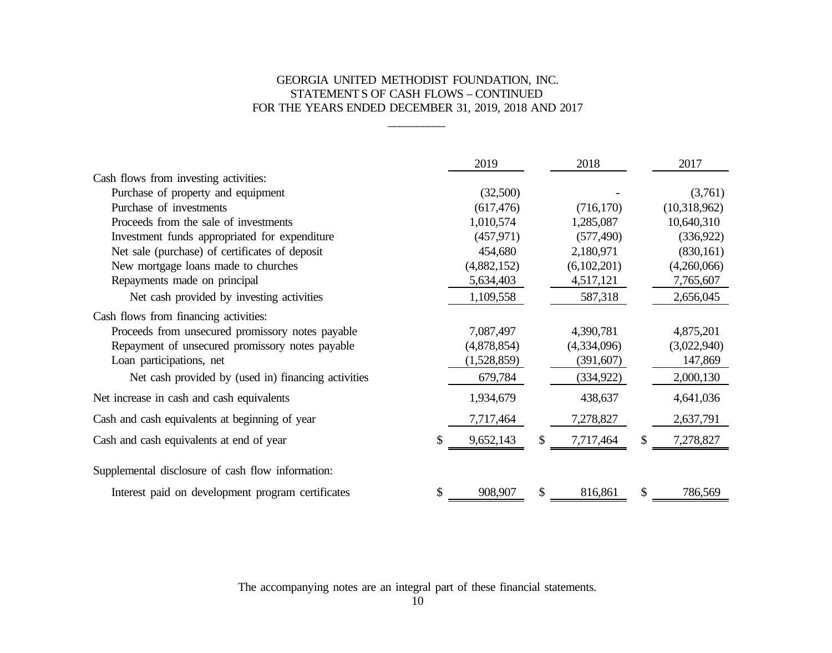# GEORGIA UNITED METHODIST FOUNDATION, INC. STATEMENTS OF CASH FLOWS – CONTINUED FOR THE YEARS ENDED DECEMBER 31, 2019, 2018 AND 2017

\_\_\_\_\_\_\_\_\_\_

|                                                     |    | 2019        |   | 2018        |    | 2017         |
|-----------------------------------------------------|----|-------------|---|-------------|----|--------------|
| Cash flows from investing activities:               |    |             |   |             |    |              |
| Purchase of property and equipment                  |    | (32,500)    |   |             |    | (3,761)      |
| Purchase of investments                             |    | (617, 476)  |   | (716, 170)  |    | (10,318,962) |
| Proceeds from the sale of investments               |    | 1,010,574   |   | 1,285,087   |    | 10,640,310   |
| Investment funds appropriated for expenditure       |    | (457, 971)  |   | (577, 490)  |    | (336, 922)   |
| Net sale (purchase) of certificates of deposit      |    | 454,680     |   | 2,180,971   |    | (830, 161)   |
| New mortgage loans made to churches                 |    | (4,882,152) |   | (6,102,201) |    | (4,260,066)  |
| Repayments made on principal                        |    | 5,634,403   |   | 4,517,121   |    | 7,765,607    |
| Net cash provided by investing activities           |    | 1,109,558   |   | 587,318     |    | 2,656,045    |
| Cash flows from financing activities:               |    |             |   |             |    |              |
| Proceeds from unsecured promissory notes payable    |    | 7,087,497   |   | 4,390,781   |    | 4,875,201    |
| Repayment of unsecured promissory notes payable     |    | (4,878,854) |   | (4,334,096) |    | (3,022,940)  |
| Loan participations, net                            |    | (1,528,859) |   | (391,607)   |    | 147,869      |
| Net cash provided by (used in) financing activities |    | 679,784     |   | (334, 922)  |    | 2,000,130    |
| Net increase in cash and cash equivalents           |    | 1,934,679   |   | 438,637     |    | 4,641,036    |
| Cash and cash equivalents at beginning of year      |    | 7,717,464   |   | 7,278,827   |    | 2,637,791    |
| Cash and cash equivalents at end of year            | S  | 9,652,143   | S | 7,717,464   | S  | 7,278,827    |
| Supplemental disclosure of cash flow information:   |    |             |   |             |    |              |
| Interest paid on development program certificates   | \$ | 908,907     | S | 816,861     | \$ | 786,569      |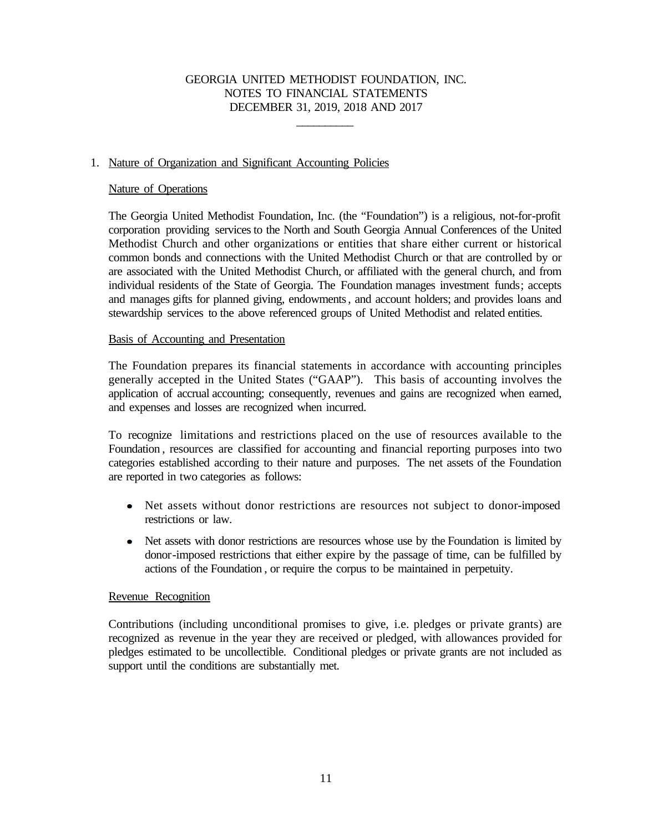\_\_\_\_\_\_\_\_\_\_

## 1. Nature of Organization and Significant Accounting Policies

## Nature of Operations

The Georgia United Methodist Foundation, Inc. (the "Foundation") is a religious, not-for-profit corporation providing services to the North and South Georgia Annual Conferences of the United Methodist Church and other organizations or entities that share either current or historical common bonds and connections with the United Methodist Church or that are controlled by or are associated with the United Methodist Church, or affiliated with the general church, and from individual residents of the State of Georgia. The Foundation manages investment funds; accepts and manages gifts for planned giving, endowments, and account holders; and provides loans and stewardship services to the above referenced groups of United Methodist and related entities.

# Basis of Accounting and Presentation

The Foundation prepares its financial statements in accordance with accounting principles generally accepted in the United States ("GAAP"). This basis of accounting involves the application of accrual accounting; consequently, revenues and gains are recognized when earned, and expenses and losses are recognized when incurred.

To recognize limitations and restrictions placed on the use of resources available to the Foundation , resources are classified for accounting and financial reporting purposes into two categories established according to their nature and purposes. The net assets of the Foundation are reported in two categories as follows:

- Net assets without donor restrictions are resources not subject to donor-imposed restrictions or law.
- Net assets with donor restrictions are resources whose use by the Foundation is limited by  $\bullet$ donor-imposed restrictions that either expire by the passage of time, can be fulfilled by actions of the Foundation , or require the corpus to be maintained in perpetuity.

## Revenue Recognition

Contributions (including unconditional promises to give, i.e. pledges or private grants) are recognized as revenue in the year they are received or pledged, with allowances provided for pledges estimated to be uncollectible. Conditional pledges or private grants are not included as support until the conditions are substantially met.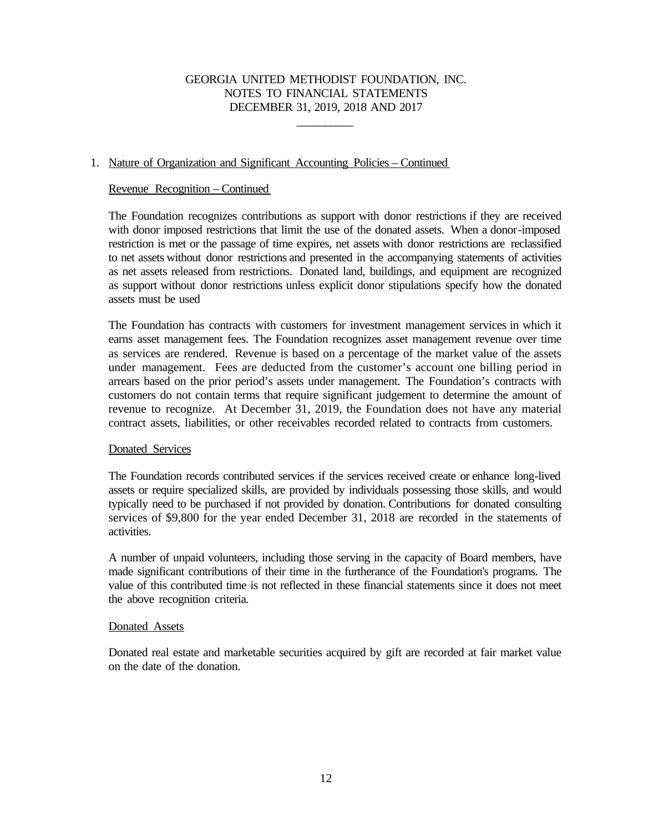\_\_\_\_\_\_\_\_\_\_

## 1. Nature of Organization and Significant Accounting Policies – Continued

### Revenue Recognition – Continued

The Foundation recognizes contributions as support with donor restrictions if they are received with donor imposed restrictions that limit the use of the donated assets. When a donor-imposed restriction is met or the passage of time expires, net assets with donor restrictions are reclassified to net assets without donor restrictions and presented in the accompanying statements of activities as net assets released from restrictions. Donated land, buildings, and equipment are recognized as support without donor restrictions unless explicit donor stipulations specify how the donated assets must be used

The Foundation has contracts with customers for investment management services in which it earns asset management fees. The Foundation recognizes asset management revenue over time as services are rendered. Revenue is based on a percentage of the market value of the assets under management. Fees are deducted from the customer's account one billing period in arrears based on the prior period's assets under management. The Foundation's contracts with customers do not contain terms that require significant judgement to determine the amount of revenue to recognize. At December 31, 2019, the Foundation does not have any material contract assets, liabilities, or other receivables recorded related to contracts from customers.

## Donated Services

The Foundation records contributed services if the services received create or enhance long-lived assets or require specialized skills, are provided by individuals possessing those skills, and would typically need to be purchased if not provided by donation. Contributions for donated consulting services of \$9,800 for the year ended December 31, 2018 are recorded in the statements of activities.

A number of unpaid volunteers, including those serving in the capacity of Board members, have made significant contributions of their time in the furtherance of the Foundation's programs. The value of this contributed time is not reflected in these financial statements since it does not meet the above recognition criteria.

#### Donated Assets

Donated real estate and marketable securities acquired by gift are recorded at fair market value on the date of the donation.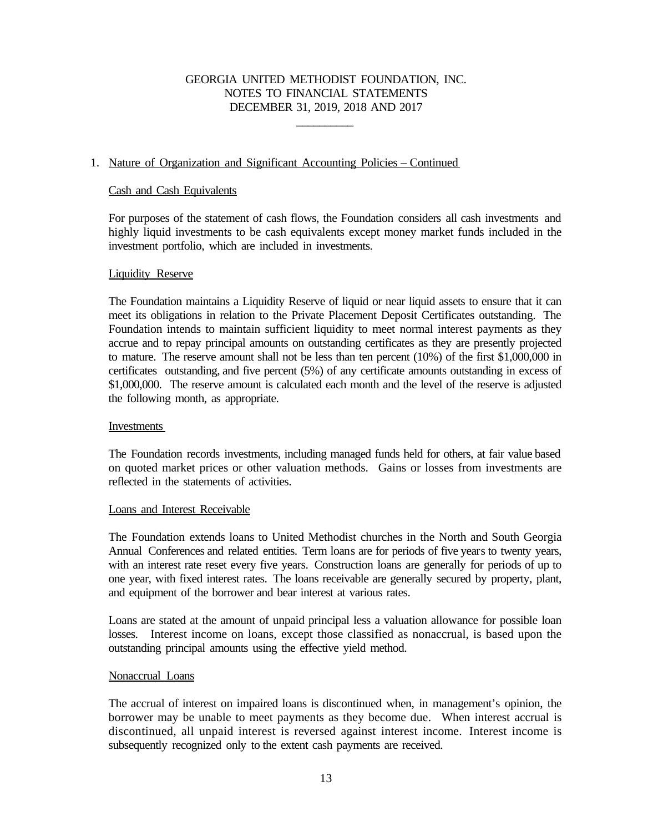\_\_\_\_\_\_\_\_\_\_

## 1. Nature of Organization and Significant Accounting Policies – Continued

## Cash and Cash Equivalents

For purposes of the statement of cash flows, the Foundation considers all cash investments and highly liquid investments to be cash equivalents except money market funds included in the investment portfolio, which are included in investments.

### Liquidity Reserve

The Foundation maintains a Liquidity Reserve of liquid or near liquid assets to ensure that it can meet its obligations in relation to the Private Placement Deposit Certificates outstanding. The Foundation intends to maintain sufficient liquidity to meet normal interest payments as they accrue and to repay principal amounts on outstanding certificates as they are presently projected to mature. The reserve amount shall not be less than ten percent (10%) of the first \$1,000,000 in certificates outstanding, and five percent (5%) of any certificate amounts outstanding in excess of \$1,000,000. The reserve amount is calculated each month and the level of the reserve is adjusted the following month, as appropriate.

#### Investments

The Foundation records investments, including managed funds held for others, at fair value based on quoted market prices or other valuation methods. Gains or losses from investments are reflected in the statements of activities.

## Loans and Interest Receivable

The Foundation extends loans to United Methodist churches in the North and South Georgia Annual Conferences and related entities. Term loans are for periods of five years to twenty years, with an interest rate reset every five years. Construction loans are generally for periods of up to one year, with fixed interest rates. The loans receivable are generally secured by property, plant, and equipment of the borrower and bear interest at various rates.

Loans are stated at the amount of unpaid principal less a valuation allowance for possible loan losses. Interest income on loans, except those classified as nonaccrual, is based upon the outstanding principal amounts using the effective yield method.

## Nonaccrual Loans

The accrual of interest on impaired loans is discontinued when, in management's opinion, the borrower may be unable to meet payments as they become due. When interest accrual is discontinued, all unpaid interest is reversed against interest income. Interest income is subsequently recognized only to the extent cash payments are received.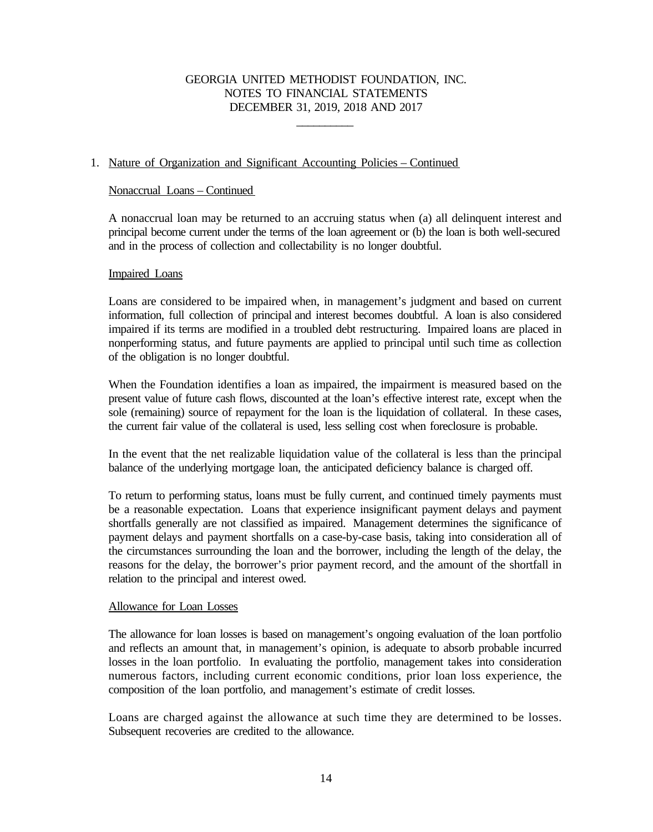\_\_\_\_\_\_\_\_\_\_

# 1. Nature of Organization and Significant Accounting Policies – Continued

## Nonaccrual Loans – Continued

A nonaccrual loan may be returned to an accruing status when (a) all delinquent interest and principal become current under the terms of the loan agreement or (b) the loan is both well-secured and in the process of collection and collectability is no longer doubtful.

### Impaired Loans

Loans are considered to be impaired when, in management's judgment and based on current information, full collection of principal and interest becomes doubtful. A loan is also considered impaired if its terms are modified in a troubled debt restructuring. Impaired loans are placed in nonperforming status, and future payments are applied to principal until such time as collection of the obligation is no longer doubtful.

When the Foundation identifies a loan as impaired, the impairment is measured based on the present value of future cash flows, discounted at the loan's effective interest rate, except when the sole (remaining) source of repayment for the loan is the liquidation of collateral. In these cases, the current fair value of the collateral is used, less selling cost when foreclosure is probable.

In the event that the net realizable liquidation value of the collateral is less than the principal balance of the underlying mortgage loan, the anticipated deficiency balance is charged off.

To return to performing status, loans must be fully current, and continued timely payments must be a reasonable expectation. Loans that experience insignificant payment delays and payment shortfalls generally are not classified as impaired. Management determines the significance of payment delays and payment shortfalls on a case-by-case basis, taking into consideration all of the circumstances surrounding the loan and the borrower, including the length of the delay, the reasons for the delay, the borrower's prior payment record, and the amount of the shortfall in relation to the principal and interest owed.

## Allowance for Loan Losses

The allowance for loan losses is based on management's ongoing evaluation of the loan portfolio and reflects an amount that, in management's opinion, is adequate to absorb probable incurred losses in the loan portfolio. In evaluating the portfolio, management takes into consideration numerous factors, including current economic conditions, prior loan loss experience, the composition of the loan portfolio, and management's estimate of credit losses.

Loans are charged against the allowance at such time they are determined to be losses. Subsequent recoveries are credited to the allowance.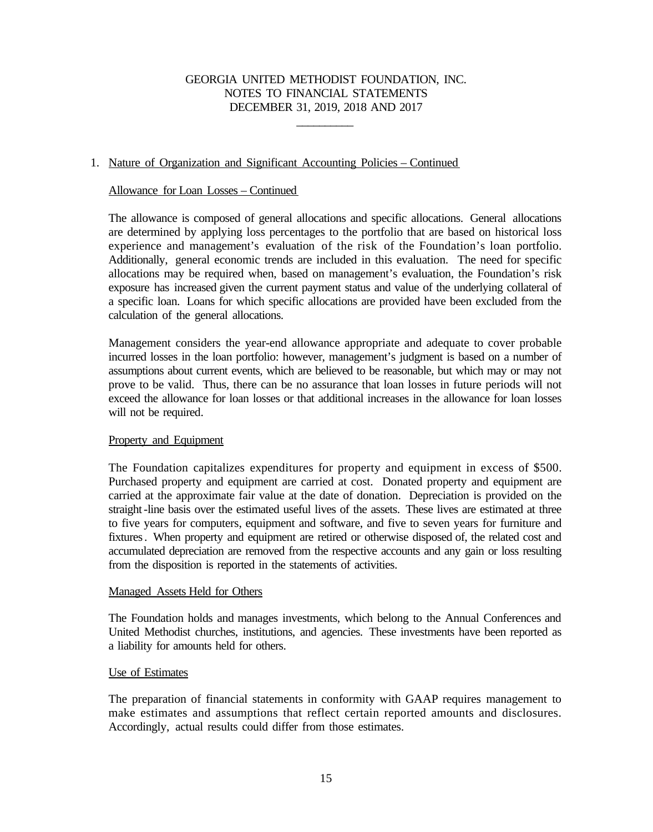\_\_\_\_\_\_\_\_\_\_

## 1. Nature of Organization and Significant Accounting Policies – Continued

### Allowance for Loan Losses – Continued

The allowance is composed of general allocations and specific allocations. General allocations are determined by applying loss percentages to the portfolio that are based on historical loss experience and management's evaluation of the risk of the Foundation's loan portfolio. Additionally, general economic trends are included in this evaluation. The need for specific allocations may be required when, based on management's evaluation, the Foundation's risk exposure has increased given the current payment status and value of the underlying collateral of a specific loan. Loans for which specific allocations are provided have been excluded from the calculation of the general allocations.

Management considers the year-end allowance appropriate and adequate to cover probable incurred losses in the loan portfolio: however, management's judgment is based on a number of assumptions about current events, which are believed to be reasonable, but which may or may not prove to be valid. Thus, there can be no assurance that loan losses in future periods will not exceed the allowance for loan losses or that additional increases in the allowance for loan losses will not be required.

## Property and Equipment

The Foundation capitalizes expenditures for property and equipment in excess of \$500. Purchased property and equipment are carried at cost. Donated property and equipment are carried at the approximate fair value at the date of donation. Depreciation is provided on the straight-line basis over the estimated useful lives of the assets. These lives are estimated at three to five years for computers, equipment and software, and five to seven years for furniture and fixtures. When property and equipment are retired or otherwise disposed of, the related cost and accumulated depreciation are removed from the respective accounts and any gain or loss resulting from the disposition is reported in the statements of activities.

#### Managed Assets Held for Others

The Foundation holds and manages investments, which belong to the Annual Conferences and United Methodist churches, institutions, and agencies. These investments have been reported as a liability for amounts held for others.

#### Use of Estimates

The preparation of financial statements in conformity with GAAP requires management to make estimates and assumptions that reflect certain reported amounts and disclosures. Accordingly, actual results could differ from those estimates.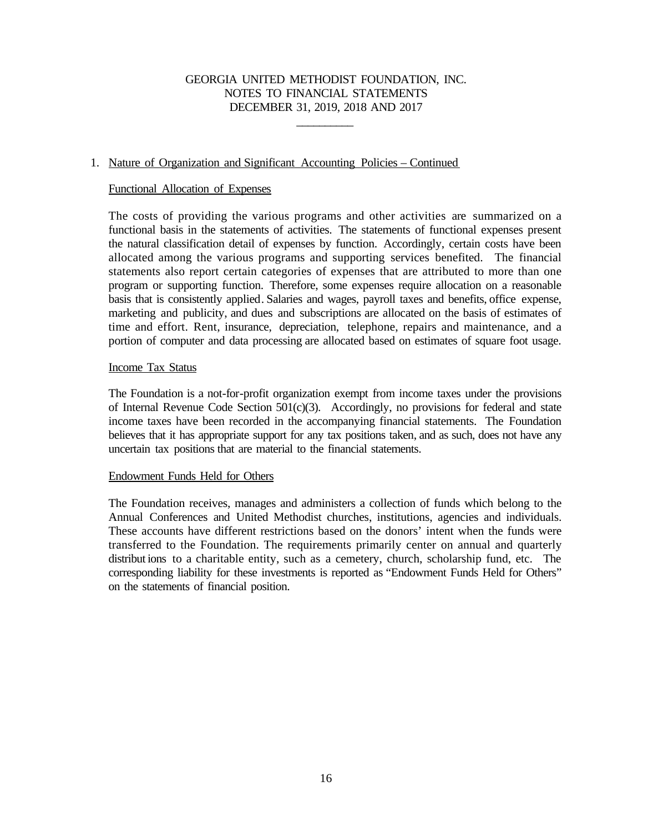\_\_\_\_\_\_\_\_\_\_

## 1. Nature of Organization and Significant Accounting Policies – Continued

### Functional Allocation of Expenses

The costs of providing the various programs and other activities are summarized on a functional basis in the statements of activities. The statements of functional expenses present the natural classification detail of expenses by function. Accordingly, certain costs have been allocated among the various programs and supporting services benefited. The financial statements also report certain categories of expenses that are attributed to more than one program or supporting function. Therefore, some expenses require allocation on a reasonable basis that is consistently applied. Salaries and wages, payroll taxes and benefits, office expense, marketing and publicity, and dues and subscriptions are allocated on the basis of estimates of time and effort. Rent, insurance, depreciation, telephone, repairs and maintenance, and a portion of computer and data processing are allocated based on estimates of square foot usage.

### Income Tax Status

The Foundation is a not-for-profit organization exempt from income taxes under the provisions of Internal Revenue Code Section 501(c)(3). Accordingly, no provisions for federal and state income taxes have been recorded in the accompanying financial statements. The Foundation believes that it has appropriate support for any tax positions taken, and as such, does not have any uncertain tax positions that are material to the financial statements.

#### Endowment Funds Held for Others

The Foundation receives, manages and administers a collection of funds which belong to the Annual Conferences and United Methodist churches, institutions, agencies and individuals. These accounts have different restrictions based on the donors' intent when the funds were transferred to the Foundation. The requirements primarily center on annual and quarterly distribut ions to a charitable entity, such as a cemetery, church, scholarship fund, etc. The corresponding liability for these investments is reported as "Endowment Funds Held for Others" on the statements of financial position.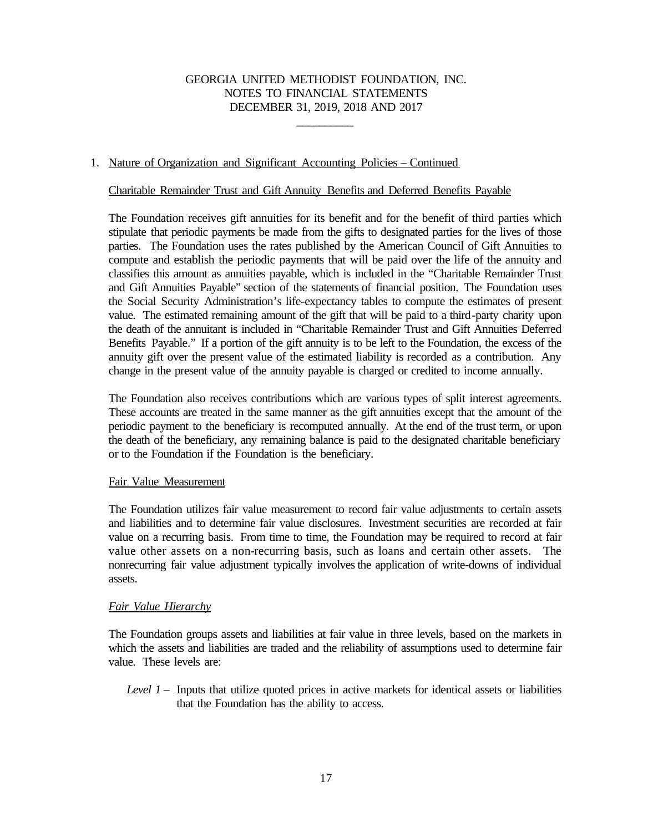\_\_\_\_\_\_\_\_\_\_

## 1. Nature of Organization and Significant Accounting Policies – Continued

## Charitable Remainder Trust and Gift Annuity Benefits and Deferred Benefits Payable

The Foundation receives gift annuities for its benefit and for the benefit of third parties which stipulate that periodic payments be made from the gifts to designated parties for the lives of those parties. The Foundation uses the rates published by the American Council of Gift Annuities to compute and establish the periodic payments that will be paid over the life of the annuity and classifies this amount as annuities payable, which is included in the "Charitable Remainder Trust and Gift Annuities Payable" section of the statements of financial position. The Foundation uses the Social Security Administration's life-expectancy tables to compute the estimates of present value. The estimated remaining amount of the gift that will be paid to a third-party charity upon the death of the annuitant is included in "Charitable Remainder Trust and Gift Annuities Deferred Benefits Payable." If a portion of the gift annuity is to be left to the Foundation, the excess of the annuity gift over the present value of the estimated liability is recorded as a contribution. Any change in the present value of the annuity payable is charged or credited to income annually.

The Foundation also receives contributions which are various types of split interest agreements. These accounts are treated in the same manner as the gift annuities except that the amount of the periodic payment to the beneficiary is recomputed annually. At the end of the trust term, or upon the death of the beneficiary, any remaining balance is paid to the designated charitable beneficiary or to the Foundation if the Foundation is the beneficiary.

## Fair Value Measurement

The Foundation utilizes fair value measurement to record fair value adjustments to certain assets and liabilities and to determine fair value disclosures. Investment securities are recorded at fair value on a recurring basis. From time to time, the Foundation may be required to record at fair value other assets on a non-recurring basis, such as loans and certain other assets. The nonrecurring fair value adjustment typically involves the application of write-downs of individual assets.

## *Fair Value Hierarchy*

The Foundation groups assets and liabilities at fair value in three levels, based on the markets in which the assets and liabilities are traded and the reliability of assumptions used to determine fair value. These levels are:

*Level 1* – Inputs that utilize quoted prices in active markets for identical assets or liabilities that the Foundation has the ability to access.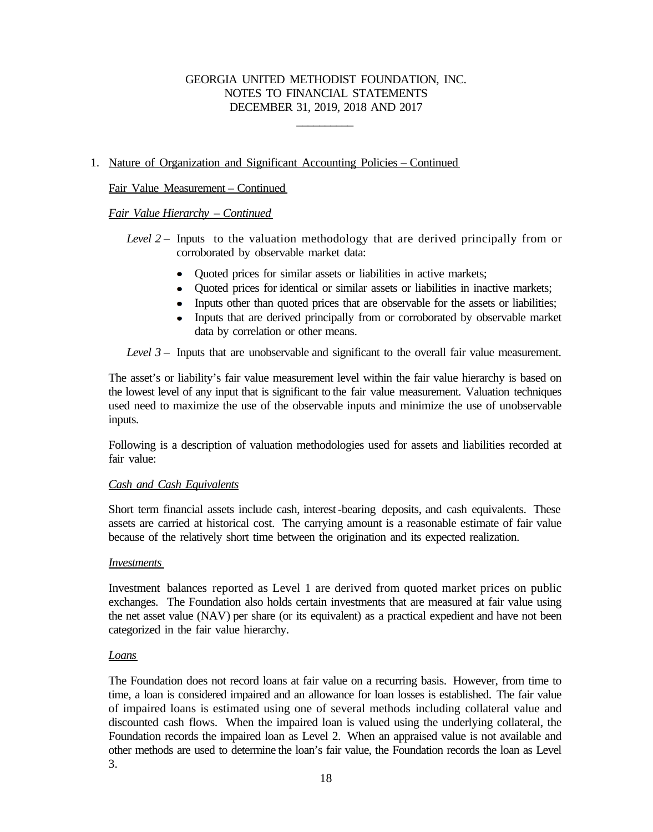\_\_\_\_\_\_\_\_\_\_

# 1. Nature of Organization and Significant Accounting Policies – Continued

# Fair Value Measurement – Continued

# *Fair Value Hierarchy – Continued*

*Level 2* – Inputs to the valuation methodology that are derived principally from or corroborated by observable market data:

- Quoted prices for similar assets or liabilities in active markets;
- Ouoted prices for identical or similar assets or liabilities in inactive markets;
- Inputs other than quoted prices that are observable for the assets or liabilities;
- Inputs that are derived principally from or corroborated by observable market data by correlation or other means.

*Level 3* – Inputs that are unobservable and significant to the overall fair value measurement.

The asset's or liability's fair value measurement level within the fair value hierarchy is based on the lowest level of any input that is significant to the fair value measurement. Valuation techniques used need to maximize the use of the observable inputs and minimize the use of unobservable inputs.

Following is a description of valuation methodologies used for assets and liabilities recorded at fair value:

## *Cash and Cash Equivalents*

Short term financial assets include cash, interest-bearing deposits, and cash equivalents. These assets are carried at historical cost. The carrying amount is a reasonable estimate of fair value because of the relatively short time between the origination and its expected realization.

## *Investments*

Investment balances reported as Level 1 are derived from quoted market prices on public exchanges. The Foundation also holds certain investments that are measured at fair value using the net asset value (NAV) per share (or its equivalent) as a practical expedient and have not been categorized in the fair value hierarchy.

## *Loans*

The Foundation does not record loans at fair value on a recurring basis. However, from time to time, a loan is considered impaired and an allowance for loan losses is established. The fair value of impaired loans is estimated using one of several methods including collateral value and discounted cash flows. When the impaired loan is valued using the underlying collateral, the Foundation records the impaired loan as Level 2. When an appraised value is not available and other methods are used to determine the loan's fair value, the Foundation records the loan as Level 3.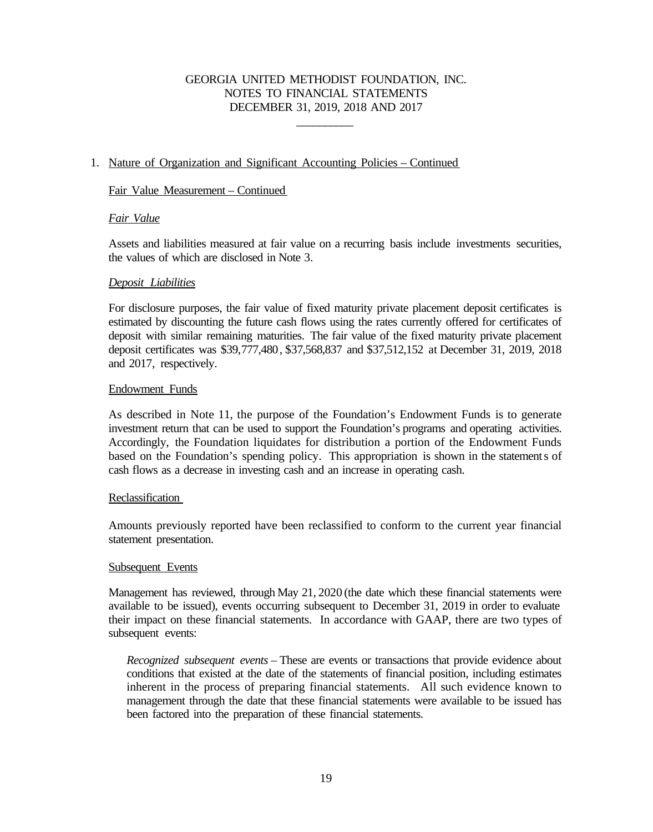\_\_\_\_\_\_\_\_\_\_

# 1. Nature of Organization and Significant Accounting Policies – Continued

## Fair Value Measurement – Continued

# *Fair Value*

Assets and liabilities measured at fair value on a recurring basis include investments securities, the values of which are disclosed in Note 3.

## *Deposit Liabilities*

For disclosure purposes, the fair value of fixed maturity private placement deposit certificates is estimated by discounting the future cash flows using the rates currently offered for certificates of deposit with similar remaining maturities. The fair value of the fixed maturity private placement deposit certificates was \$39,777,480, \$37,568,837 and \$37,512,152 at December 31, 2019, 2018 and 2017, respectively.

# Endowment Funds

As described in Note 11, the purpose of the Foundation's Endowment Funds is to generate investment return that can be used to support the Foundation's programs and operating activities. Accordingly, the Foundation liquidates for distribution a portion of the Endowment Funds based on the Foundation's spending policy. This appropriation is shown in the statements of cash flows as a decrease in investing cash and an increase in operating cash.

## Reclassification

Amounts previously reported have been reclassified to conform to the current year financial statement presentation.

## Subsequent Events

Management has reviewed, through May 21, 2020 (the date which these financial statements were available to be issued), events occurring subsequent to December 31, 2019 in order to evaluate their impact on these financial statements. In accordance with GAAP, there are two types of subsequent events:

*Recognized subsequent events* – These are events or transactions that provide evidence about conditions that existed at the date of the statements of financial position, including estimates inherent in the process of preparing financial statements. All such evidence known to management through the date that these financial statements were available to be issued has been factored into the preparation of these financial statements.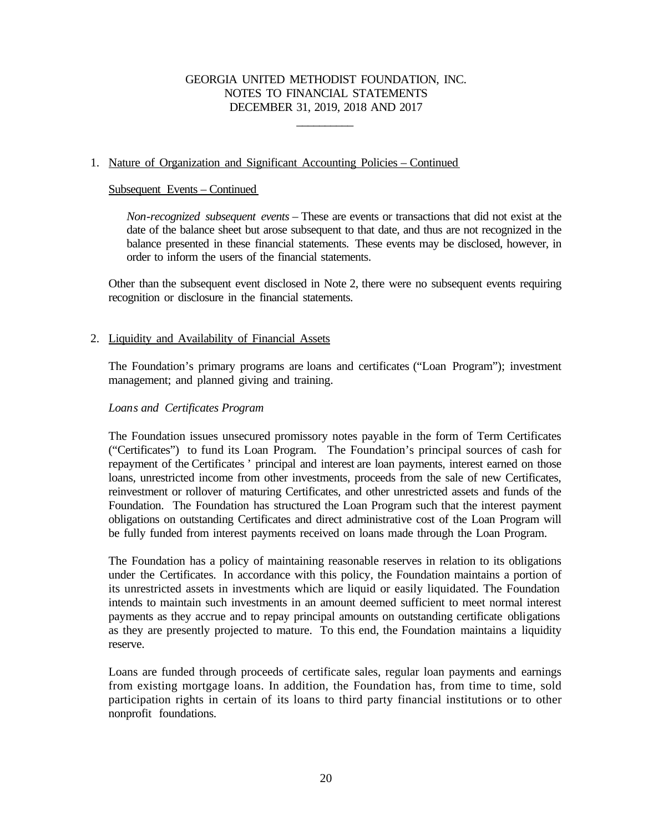\_\_\_\_\_\_\_\_\_\_

# 1. Nature of Organization and Significant Accounting Policies – Continued

### Subsequent Events – Continued

*Non-recognized subsequent events* – These are events or transactions that did not exist at the date of the balance sheet but arose subsequent to that date, and thus are not recognized in the balance presented in these financial statements. These events may be disclosed, however, in order to inform the users of the financial statements.

Other than the subsequent event disclosed in Note 2, there were no subsequent events requiring recognition or disclosure in the financial statements.

## 2. Liquidity and Availability of Financial Assets

The Foundation's primary programs are loans and certificates ("Loan Program"); investment management; and planned giving and training.

### *Loans and Certificates Program*

The Foundation issues unsecured promissory notes payable in the form of Term Certificates ("Certificates") to fund its Loan Program. The Foundation's principal sources of cash for repayment of the Certificates ' principal and interest are loan payments, interest earned on those loans, unrestricted income from other investments, proceeds from the sale of new Certificates, reinvestment or rollover of maturing Certificates, and other unrestricted assets and funds of the Foundation. The Foundation has structured the Loan Program such that the interest payment obligations on outstanding Certificates and direct administrative cost of the Loan Program will be fully funded from interest payments received on loans made through the Loan Program.

The Foundation has a policy of maintaining reasonable reserves in relation to its obligations under the Certificates. In accordance with this policy, the Foundation maintains a portion of its unrestricted assets in investments which are liquid or easily liquidated. The Foundation intends to maintain such investments in an amount deemed sufficient to meet normal interest payments as they accrue and to repay principal amounts on outstanding certificate obligations as they are presently projected to mature. To this end, the Foundation maintains a liquidity reserve.

Loans are funded through proceeds of certificate sales, regular loan payments and earnings from existing mortgage loans. In addition, the Foundation has, from time to time, sold participation rights in certain of its loans to third party financial institutions or to other nonprofit foundations.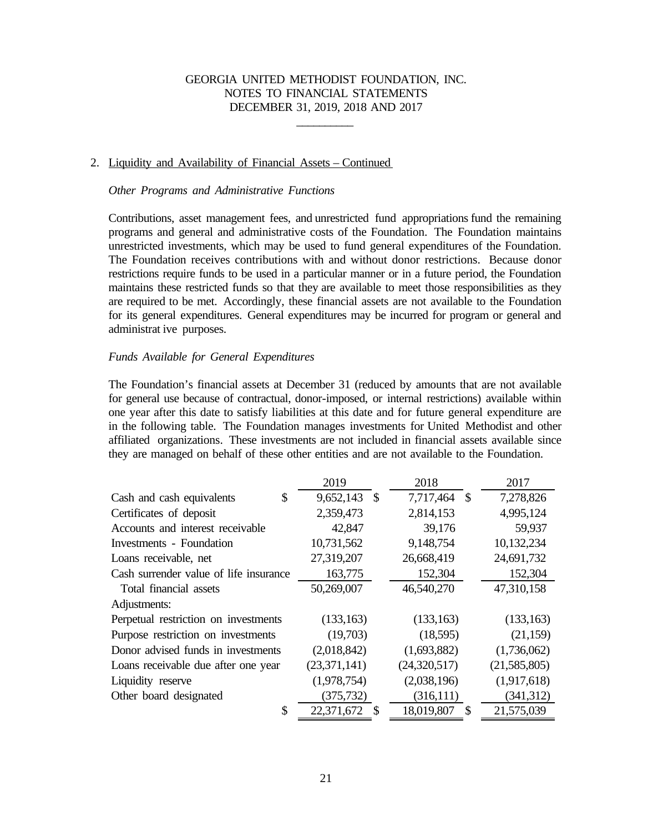\_\_\_\_\_\_\_\_\_\_

#### 2. Liquidity and Availability of Financial Assets – Continued

#### *Other Programs and Administrative Functions*

Contributions, asset management fees, and unrestricted fund appropriations fund the remaining programs and general and administrative costs of the Foundation. The Foundation maintains unrestricted investments, which may be used to fund general expenditures of the Foundation. The Foundation receives contributions with and without donor restrictions. Because donor restrictions require funds to be used in a particular manner or in a future period, the Foundation maintains these restricted funds so that they are available to meet those responsibilities as they are required to be met. Accordingly, these financial assets are not available to the Foundation for its general expenditures. General expenditures may be incurred for program or general and administrat ive purposes.

#### *Funds Available for General Expenditures*

The Foundation's financial assets at December 31 (reduced by amounts that are not available for general use because of contractual, donor-imposed, or internal restrictions) available within one year after this date to satisfy liabilities at this date and for future general expenditure are in the following table. The Foundation manages investments for United Methodist and other affiliated organizations. These investments are not included in financial assets available since they are managed on behalf of these other entities and are not available to the Foundation.

|                                        | 2019                        | 2018                                    | 2017         |
|----------------------------------------|-----------------------------|-----------------------------------------|--------------|
| \$<br>Cash and cash equivalents        | 9,652,143 \$                | 7,717,464 \$                            | 7,278,826    |
| Certificates of deposit                | 2,359,473                   | 2,814,153                               | 4,995,124    |
| Accounts and interest receivable       | 42,847                      | 39,176                                  | 59,937       |
| Investments - Foundation               | 10,731,562                  | 9,148,754                               | 10,132,234   |
| Loans receivable, net                  | 27,319,207                  | 26,668,419                              | 24,691,732   |
| Cash surrender value of life insurance | 163,775                     | 152,304                                 | 152,304      |
| Total financial assets                 | 50,269,007                  | 46,540,270                              | 47,310,158   |
| Adjustments:                           |                             |                                         |              |
| Perpetual restriction on investments   | (133, 163)                  | (133, 163)                              | (133, 163)   |
| Purpose restriction on investments     | (19,703)                    | (18,595)                                | (21, 159)    |
| Donor advised funds in investments     | (2,018,842)                 | (1,693,882)                             | (1,736,062)  |
| Loans receivable due after one year    | (23,371,141)                | (24,320,517)                            | (21,585,805) |
| Liquidity reserve                      | (1,978,754)                 | (2,038,196)                             | (1,917,618)  |
| Other board designated                 | (375, 732)                  | (316, 111)                              | (341, 312)   |
| \$                                     | 22,371,672<br>$\mathcal{S}$ | 18,019,807<br>$\boldsymbol{\mathsf{S}}$ | 21,575,039   |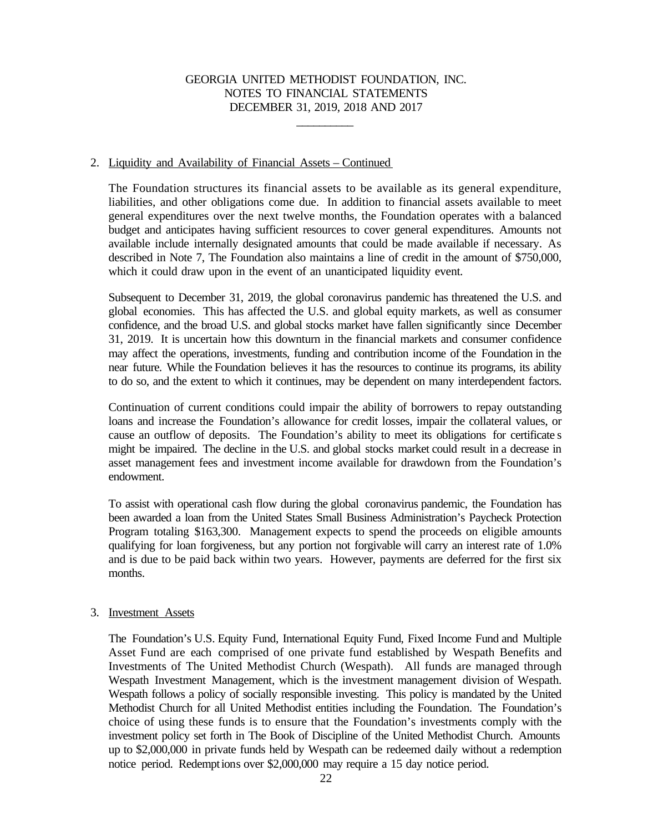\_\_\_\_\_\_\_\_\_\_

### 2. Liquidity and Availability of Financial Assets – Continued

The Foundation structures its financial assets to be available as its general expenditure, liabilities, and other obligations come due. In addition to financial assets available to meet general expenditures over the next twelve months, the Foundation operates with a balanced budget and anticipates having sufficient resources to cover general expenditures. Amounts not available include internally designated amounts that could be made available if necessary. As described in Note 7, The Foundation also maintains a line of credit in the amount of \$750,000, which it could draw upon in the event of an unanticipated liquidity event.

Subsequent to December 31, 2019, the global coronavirus pandemic has threatened the U.S. and global economies. This has affected the U.S. and global equity markets, as well as consumer confidence, and the broad U.S. and global stocks market have fallen significantly since December 31, 2019. It is uncertain how this downturn in the financial markets and consumer confidence may affect the operations, investments, funding and contribution income of the Foundation in the near future. While the Foundation believes it has the resources to continue its programs, its ability to do so, and the extent to which it continues, may be dependent on many interdependent factors.

Continuation of current conditions could impair the ability of borrowers to repay outstanding loans and increase the Foundation's allowance for credit losses, impair the collateral values, or cause an outflow of deposits. The Foundation's ability to meet its obligations for certificate s might be impaired. The decline in the U.S. and global stocks market could result in a decrease in asset management fees and investment income available for drawdown from the Foundation's endowment.

To assist with operational cash flow during the global coronavirus pandemic, the Foundation has been awarded a loan from the United States Small Business Administration's Paycheck Protection Program totaling \$163,300. Management expects to spend the proceeds on eligible amounts qualifying for loan forgiveness, but any portion not forgivable will carry an interest rate of 1.0% and is due to be paid back within two years. However, payments are deferred for the first six months.

## 3. Investment Assets

The Foundation's U.S. Equity Fund, International Equity Fund, Fixed Income Fund and Multiple Asset Fund are each comprised of one private fund established by Wespath Benefits and Investments of The United Methodist Church (Wespath). All funds are managed through Wespath Investment Management, which is the investment management division of Wespath. Wespath follows a policy of socially responsible investing. This policy is mandated by the United Methodist Church for all United Methodist entities including the Foundation. The Foundation's choice of using these funds is to ensure that the Foundation's investments comply with the investment policy set forth in The Book of Discipline of the United Methodist Church. Amounts up to \$2,000,000 in private funds held by Wespath can be redeemed daily without a redemption notice period. Redemptions over \$2,000,000 may require a 15 day notice period.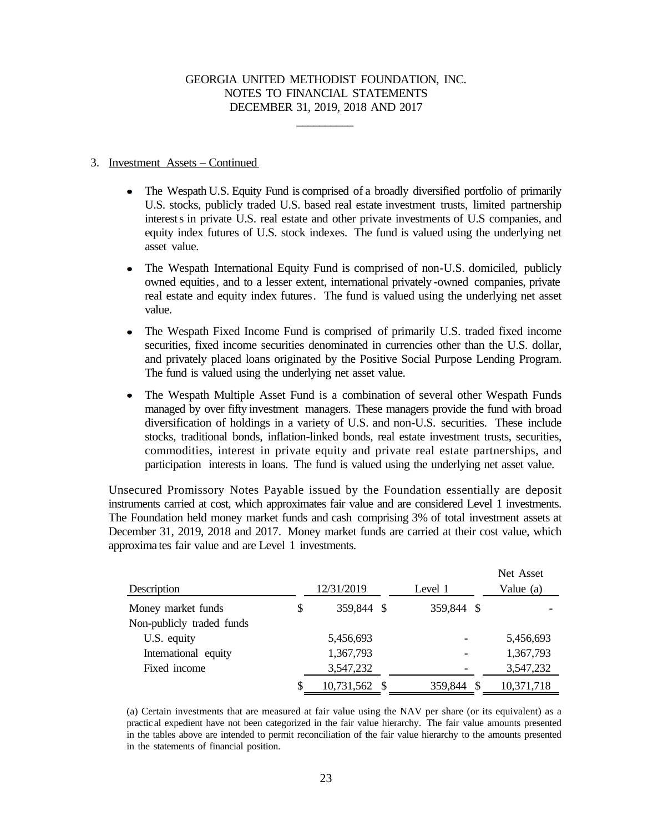\_\_\_\_\_\_\_\_\_\_

### 3. Investment Assets – Continued

- $\bullet$ The Wespath U.S. Equity Fund is comprised of a broadly diversified portfolio of primarily U.S. stocks, publicly traded U.S. based real estate investment trusts, limited partnership interests in private U.S. real estate and other private investments of U.S companies, and equity index futures of U.S. stock indexes. The fund is valued using the underlying net asset value.
- The Wespath International Equity Fund is comprised of non-U.S. domiciled, publicly owned equities, and to a lesser extent, international privately -owned companies, private real estate and equity index futures. The fund is valued using the underlying net asset value.
- The Wespath Fixed Income Fund is comprised of primarily U.S. traded fixed income  $\bullet$ securities, fixed income securities denominated in currencies other than the U.S. dollar, and privately placed loans originated by the Positive Social Purpose Lending Program. The fund is valued using the underlying net asset value.
- The Wespath Multiple Asset Fund is a combination of several other Wespath Funds  $\bullet$ managed by over fifty investment managers. These managers provide the fund with broad diversification of holdings in a variety of U.S. and non-U.S. securities. These include stocks, traditional bonds, inflation-linked bonds, real estate investment trusts, securities, commodities, interest in private equity and private real estate partnerships, and participation interests in loans. The fund is valued using the underlying net asset value.

Unsecured Promissory Notes Payable issued by the Foundation essentially are deposit instruments carried at cost, which approximates fair value and are considered Level 1 investments. The Foundation held money market funds and cash comprising 3% of total investment assets at December 31, 2019, 2018 and 2017. Money market funds are carried at their cost value, which approxima tes fair value and are Level 1 investments.

| Description               |    | 12/31/2019    | Level 1                  | Net Asset<br>Value (a) |
|---------------------------|----|---------------|--------------------------|------------------------|
| Money market funds        | \$ | 359,844 \$    | 359,844 \$               |                        |
| Non-publicly traded funds |    |               |                          |                        |
| U.S. equity               |    | 5,456,693     |                          | 5,456,693              |
| International equity      |    | 1,367,793     | $\overline{\phantom{a}}$ | 1,367,793              |
| Fixed income              |    | 3,547,232     |                          | 3,547,232              |
|                           | S  | 10,731,562 \$ | 359,844                  | 10,371,718             |

(a) Certain investments that are measured at fair value using the NAV per share (or its equivalent) as a practic al expedient have not been categorized in the fair value hierarchy. The fair value amounts presented in the tables above are intended to permit reconciliation of the fair value hierarchy to the amounts presented in the statements of financial position.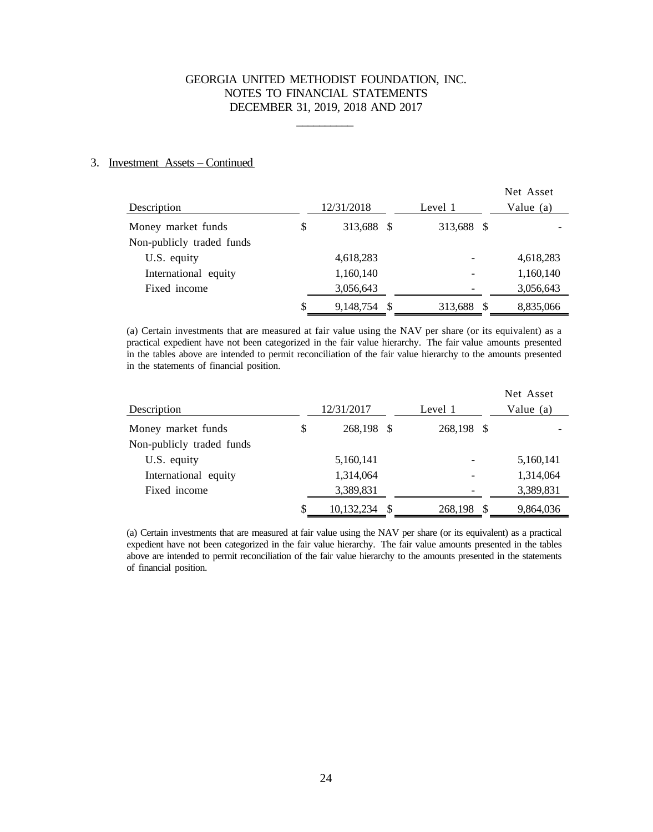\_\_\_\_\_\_\_\_\_\_

### 3. Investment Assets – Continued

| Description               | 12/31/2018         | Level 1                  | Net Asset<br>Value $(a)$ |
|---------------------------|--------------------|--------------------------|--------------------------|
| Money market funds        | \$<br>313,688 \$   | 313,688 \$               |                          |
| Non-publicly traded funds |                    |                          |                          |
| U.S. equity               | 4,618,283          |                          | 4,618,283                |
| International equity      | 1,160,140          | $\overline{\phantom{a}}$ | 1,160,140                |
| Fixed income              | 3,056,643          |                          | 3,056,643                |
|                           | \$<br>9,148,754 \$ | 313,688                  | 8,835,066                |

(a) Certain investments that are measured at fair value using the NAV per share (or its equivalent) as a practical expedient have not been categorized in the fair value hierarchy. The fair value amounts presented in the tables above are intended to permit reconciliation of the fair value hierarchy to the amounts presented in the statements of financial position.

| Description               | 12/31/2017       |     | Level 1    | Net Asset<br>Value (a) |
|---------------------------|------------------|-----|------------|------------------------|
| Money market funds        | \$<br>268,198    | - S | 268,198 \$ |                        |
| Non-publicly traded funds |                  |     |            |                        |
| U.S. equity               | 5,160,141        |     |            | 5,160,141              |
| International equity      | 1,314,064        |     |            | 1,314,064              |
| Fixed income              | 3,389,831        |     |            | 3,389,831              |
|                           | \$<br>10,132,234 | -S  | 268,198    | 9,864,036              |

(a) Certain investments that are measured at fair value using the NAV per share (or its equivalent) as a practical expedient have not been categorized in the fair value hierarchy. The fair value amounts presented in the tables above are intended to permit reconciliation of the fair value hierarchy to the amounts presented in the statements of financial position.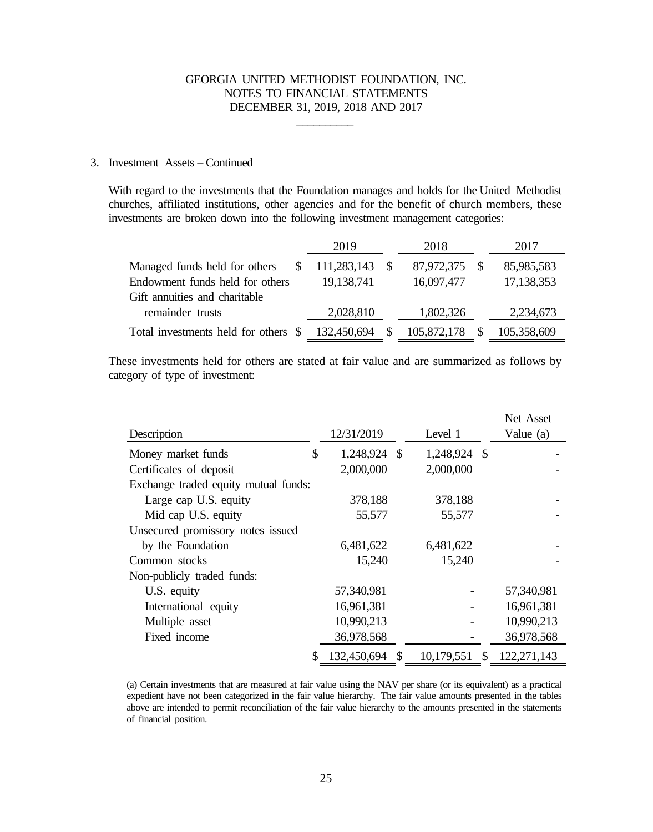\_\_\_\_\_\_\_\_\_\_

## 3. Investment Assets – Continued

With regard to the investments that the Foundation manages and holds for the United Methodist churches, affiliated institutions, other agencies and for the benefit of church members, these investments are broken down into the following investment management categories:

|                                      | 2019        | 2018        | 2017        |
|--------------------------------------|-------------|-------------|-------------|
| Managed funds held for others<br>S.  | 111,283,143 | 87,972,375  | 85,985,583  |
| Endowment funds held for others      | 19,138,741  | 16,097,477  | 17,138,353  |
| Gift annuities and charitable        |             |             |             |
| remainder trusts                     | 2,028,810   | 1,802,326   | 2,234,673   |
| Total investments held for others \$ | 132,450,694 | 105,872,178 | 105,358,609 |

These investments held for others are stated at fair value and are summarized as follows by category of type of investment:

|                                      |                      |              |              | Net Asset   |
|--------------------------------------|----------------------|--------------|--------------|-------------|
| Description                          | 12/31/2019           | Level 1      |              | Value (a)   |
| Money market funds                   | \$<br>1,248,924 \$   | 1,248,924 \$ |              |             |
| Certificates of deposit              | 2,000,000            | 2,000,000    |              |             |
| Exchange traded equity mutual funds: |                      |              |              |             |
| Large cap U.S. equity                | 378,188              | 378,188      |              |             |
| Mid cap U.S. equity                  | 55,577               | 55,577       |              |             |
| Unsecured promissory notes issued    |                      |              |              |             |
| by the Foundation                    | 6,481,622            | 6,481,622    |              |             |
| Common stocks                        | 15,240               | 15,240       |              |             |
| Non-publicly traded funds:           |                      |              |              |             |
| U.S. equity                          | 57,340,981           |              |              | 57,340,981  |
| International equity                 | 16,961,381           |              |              | 16,961,381  |
| Multiple asset                       | 10,990,213           |              |              | 10,990,213  |
| Fixed income                         | 36,978,568           |              |              | 36,978,568  |
|                                      | \$<br>132,450,694 \$ | 10,179,551   | $\mathbb{S}$ | 122,271,143 |

(a) Certain investments that are measured at fair value using the NAV per share (or its equivalent) as a practical expedient have not been categorized in the fair value hierarchy. The fair value amounts presented in the tables above are intended to permit reconciliation of the fair value hierarchy to the amounts presented in the statements of financial position.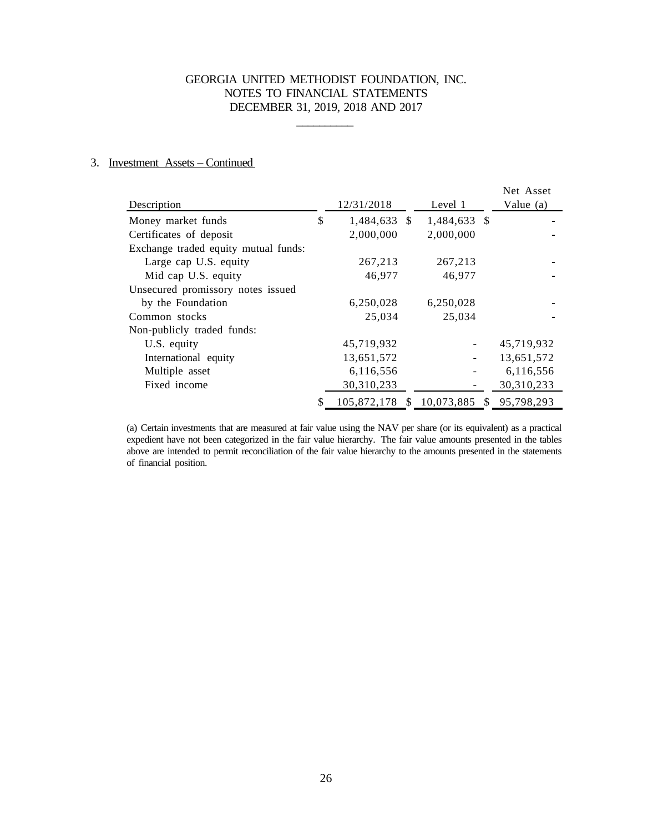\_\_\_\_\_\_\_\_\_\_

## 3. Investment Assets – Continued

|                                      |                              |              | Net Asset  |
|--------------------------------------|------------------------------|--------------|------------|
| Description                          | 12/31/2018                   | Level 1      | Value (a)  |
| Money market funds                   | \$<br>1,484,633 \$           | 1,484,633 \$ |            |
| Certificates of deposit              | 2,000,000                    | 2,000,000    |            |
| Exchange traded equity mutual funds: |                              |              |            |
| Large cap U.S. equity                | 267,213                      | 267,213      |            |
| Mid cap U.S. equity                  | 46,977                       | 46,977       |            |
| Unsecured promissory notes issued    |                              |              |            |
| by the Foundation                    | 6,250,028                    | 6,250,028    |            |
| Common stocks                        | 25,034                       | 25,034       |            |
| Non-publicly traded funds:           |                              |              |            |
| U.S. equity                          | 45,719,932                   |              | 45,719,932 |
| International equity                 | 13,651,572                   |              | 13,651,572 |
| Multiple asset                       | 6,116,556                    |              | 6,116,556  |
| Fixed income                         | 30,310,233                   |              | 30,310,233 |
|                                      | 105,872,178 \$ 10,073,885 \$ |              | 95,798,293 |

(a) Certain investments that are measured at fair value using the NAV per share (or its equivalent) as a practical expedient have not been categorized in the fair value hierarchy. The fair value amounts presented in the tables above are intended to permit reconciliation of the fair value hierarchy to the amounts presented in the statements of financial position.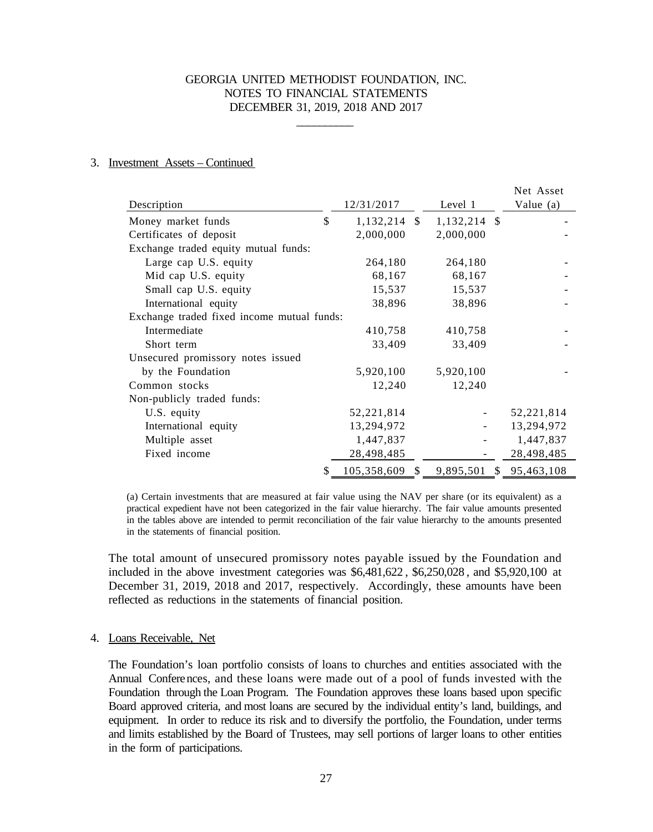\_\_\_\_\_\_\_\_\_\_

#### 3. Investment Assets – Continued

|                                            |    |                |                | Net Asset               |
|--------------------------------------------|----|----------------|----------------|-------------------------|
| Description                                |    | 12/31/2017     | Level 1        | Value (a)               |
| Money market funds                         | \$ | $1,132,214$ \$ | $1,132,214$ \$ |                         |
| Certificates of deposit                    |    | 2,000,000      | 2,000,000      |                         |
| Exchange traded equity mutual funds:       |    |                |                |                         |
| Large cap U.S. equity                      |    | 264,180        | 264,180        |                         |
| Mid cap U.S. equity                        |    | 68,167         | 68,167         |                         |
| Small cap U.S. equity                      |    | 15,537         | 15,537         |                         |
| International equity                       |    | 38,896         | 38,896         |                         |
| Exchange traded fixed income mutual funds: |    |                |                |                         |
| Intermediate                               |    | 410,758        | 410,758        |                         |
| Short term                                 |    | 33,409         | 33,409         |                         |
| Unsecured promissory notes issued          |    |                |                |                         |
| by the Foundation                          |    | 5,920,100      | 5,920,100      |                         |
| Common stocks                              |    | 12,240         | 12,240         |                         |
| Non-publicly traded funds:                 |    |                |                |                         |
| U.S. equity                                |    | 52,221,814     |                | 52,221,814              |
| International equity                       |    | 13,294,972     |                | 13,294,972              |
| Multiple asset                             |    | 1,447,837      |                | 1,447,837               |
| Fixed income                               |    | 28,498,485     |                | 28,498,485              |
|                                            | S  | 105,358,609 \$ |                | 9,895,501 \$ 95,463,108 |

(a) Certain investments that are measured at fair value using the NAV per share (or its equivalent) as a practical expedient have not been categorized in the fair value hierarchy. The fair value amounts presented in the tables above are intended to permit reconciliation of the fair value hierarchy to the amounts presented in the statements of financial position.

The total amount of unsecured promissory notes payable issued by the Foundation and included in the above investment categories was \$6,481,622 , \$6,250,028 , and \$5,920,100 at December 31, 2019, 2018 and 2017, respectively. Accordingly, these amounts have been reflected as reductions in the statements of financial position.

#### 4. Loans Receivable, Net

The Foundation's loan portfolio consists of loans to churches and entities associated with the Annual Conferences, and these loans were made out of a pool of funds invested with the Foundation through the Loan Program. The Foundation approves these loans based upon specific Board approved criteria, and most loans are secured by the individual entity's land, buildings, and equipment. In order to reduce its risk and to diversify the portfolio, the Foundation, under terms and limits established by the Board of Trustees, may sell portions of larger loans to other entities in the form of participations.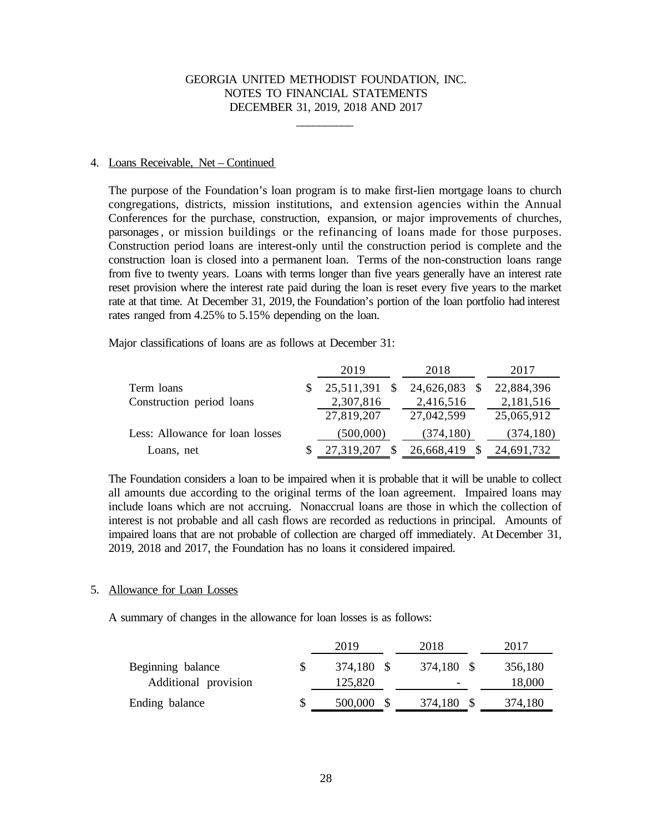\_\_\_\_\_\_\_\_\_\_

#### 4. Loans Receivable, Net – Continued

The purpose of the Foundation's loan program is to make first-lien mortgage loans to church congregations, districts, mission institutions, and extension agencies within the Annual Conferences for the purchase, construction, expansion, or major improvements of churches, parsonages, or mission buildings or the refinancing of loans made for those purposes. Construction period loans are interest-only until the construction period is complete and the construction loan is closed into a permanent loan. Terms of the non-construction loans range from five to twenty years. Loans with terms longer than five years generally have an interest rate reset provision where the interest rate paid during the loan is reset every five years to the market rate at that time. At December 31, 2019, the Foundation's portion of the loan portfolio had interest rates ranged from 4.25% to 5.15% depending on the loan.

Major classifications of loans are as follows at December 31:

|                                 | 2019       | 2018       | 2017       |
|---------------------------------|------------|------------|------------|
| Term loans                      | 25,511,391 | 24,626,083 | 22,884,396 |
| Construction period loans       | 2,307,816  | 2,416,516  | 2,181,516  |
|                                 | 27,819,207 | 27,042,599 | 25,065,912 |
| Less: Allowance for loan losses | (500,000)  | (374, 180) | (374, 180) |
| Loans, net                      | 27,319,207 | 26,668,419 | 24,691,732 |

The Foundation considers a loan to be impaired when it is probable that it will be unable to collect all amounts due according to the original terms of the loan agreement. Impaired loans may include loans which are not accruing. Nonaccrual loans are those in which the collection of interest is not probable and all cash flows are recorded as reductions in principal. Amounts of impaired loans that are not probable of collection are charged off immediately. At December 31, 2019, 2018 and 2017, the Foundation has no loans it considered impaired.

#### 5. Allowance for Loan Losses

A summary of changes in the allowance for loan losses is as follows:

|                      | 2019       | 2018       | 2017    |
|----------------------|------------|------------|---------|
| Beginning balance    | 374,180 \$ | 374,180 \$ | 356,180 |
| Additional provision | 125,820    |            | 18,000  |
| Ending balance       | 500,000    | 374,180    | 374,180 |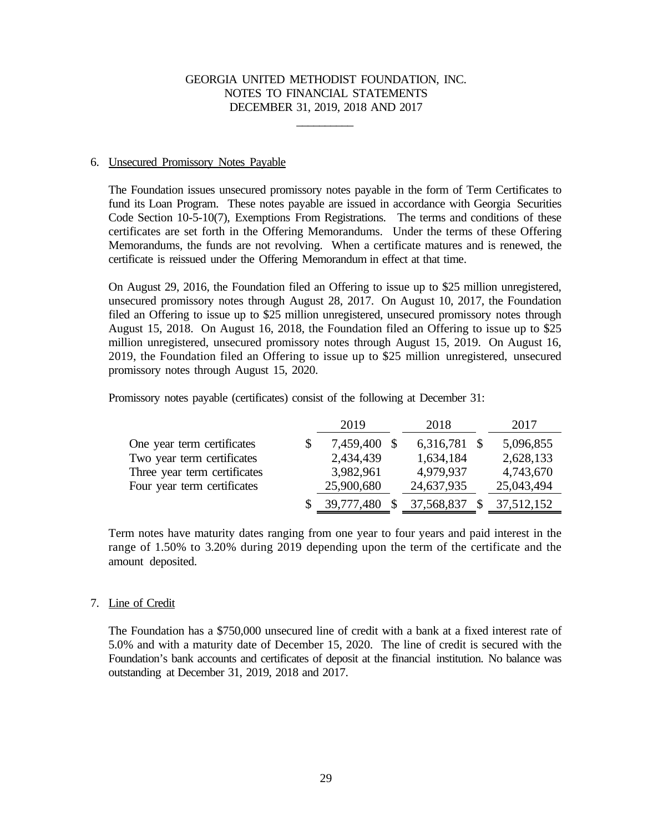\_\_\_\_\_\_\_\_\_\_

### 6. Unsecured Promissory Notes Payable

The Foundation issues unsecured promissory notes payable in the form of Term Certificates to fund its Loan Program. These notes payable are issued in accordance with Georgia Securities Code Section 10-5-10(7), Exemptions From Registrations. The terms and conditions of these certificates are set forth in the Offering Memorandums. Under the terms of these Offering Memorandums, the funds are not revolving. When a certificate matures and is renewed, the certificate is reissued under the Offering Memorandum in effect at that time.

On August 29, 2016, the Foundation filed an Offering to issue up to \$25 million unregistered, unsecured promissory notes through August 28, 2017. On August 10, 2017, the Foundation filed an Offering to issue up to \$25 million unregistered, unsecured promissory notes through August 15, 2018. On August 16, 2018, the Foundation filed an Offering to issue up to \$25 million unregistered, unsecured promissory notes through August 15, 2019. On August 16, 2019, the Foundation filed an Offering to issue up to \$25 million unregistered, unsecured promissory notes through August 15, 2020.

Promissory notes payable (certificates) consist of the following at December 31:

|                              | 2019         | 2018         | 2017       |
|------------------------------|--------------|--------------|------------|
| One year term certificates   | 7,459,400 \$ | 6,316,781 \$ | 5,096,855  |
| Two year term certificates   | 2,434,439    | 1,634,184    | 2,628,133  |
| Three year term certificates | 3,982,961    | 4,979,937    | 4,743,670  |
| Four year term certificates  | 25,900,680   | 24,637,935   | 25,043,494 |
|                              | 39,777,480   | 37,568,837   | 37,512,152 |

Term notes have maturity dates ranging from one year to four years and paid interest in the range of 1.50% to 3.20% during 2019 depending upon the term of the certificate and the amount deposited.

## 7. Line of Credit

The Foundation has a \$750,000 unsecured line of credit with a bank at a fixed interest rate of 5.0% and with a maturity date of December 15, 2020. The line of credit is secured with the Foundation's bank accounts and certificates of deposit at the financial institution. No balance was outstanding at December 31, 2019, 2018 and 2017.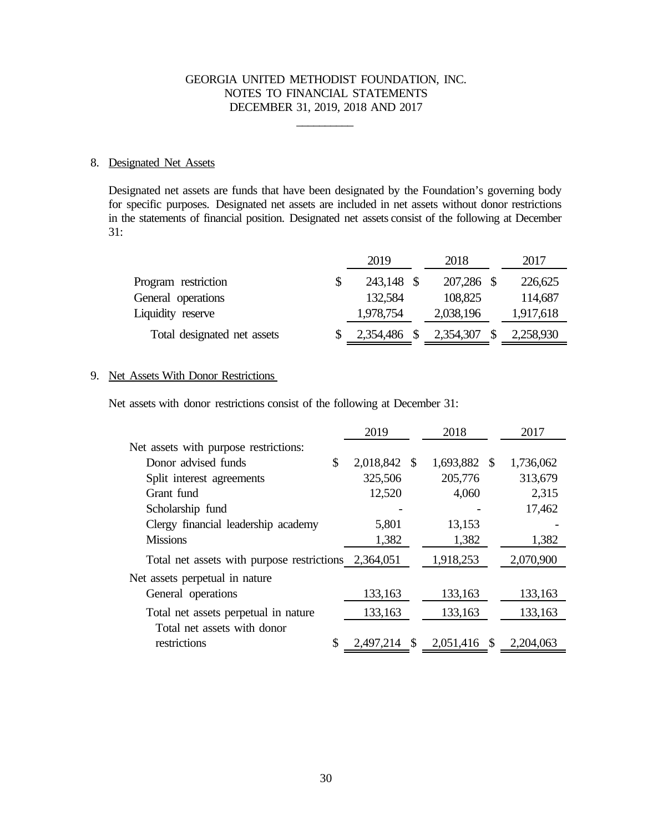\_\_\_\_\_\_\_\_\_\_

### 8. Designated Net Assets

Designated net assets are funds that have been designated by the Foundation's governing body for specific purposes. Designated net assets are included in net assets without donor restrictions in the statements of financial position. Designated net assets consist of the following at December 31:

|                             | 2019       | 2018       | 2017      |
|-----------------------------|------------|------------|-----------|
| Program restriction         | 243,148 \$ | 207,286 \$ | 226,625   |
| General operations          | 132,584    | 108,825    | 114,687   |
| Liquidity reserve           | 1,978,754  | 2,038,196  | 1,917,618 |
| Total designated net assets | 2,354,486  | 2,354,307  | 2,258,930 |

## 9. Net Assets With Donor Restrictions

Net assets with donor restrictions consist of the following at December 31:

|                                                      | 2019               | 2018            | 2017            |
|------------------------------------------------------|--------------------|-----------------|-----------------|
| Net assets with purpose restrictions:                |                    |                 |                 |
| Donor advised funds                                  | \$<br>2,018,842 \$ | 1,693,882 \$    | 1,736,062       |
| Split interest agreements                            | 325,506            | 205,776         | 313,679         |
| Grant fund                                           | 12,520             | 4,060           | 2,315           |
| Scholarship fund                                     |                    |                 | 17,462          |
| Clergy financial leadership academy                  | 5,801              | 13,153          |                 |
| <b>Missions</b>                                      | 1,382              | 1,382           | 1,382           |
| Total net assets with purpose restrictions 2,364,051 |                    | 1,918,253       | 2,070,900       |
| Net assets perpetual in nature                       |                    |                 |                 |
| General operations                                   | 133,163            | 133,163         | 133,163         |
| Total net assets perpetual in nature                 | 133,163            | 133,163         | 133,163         |
| Total net assets with donor                          |                    |                 |                 |
| restrictions                                         | \$<br>2,497,214    | \$<br>2,051,416 | \$<br>2,204,063 |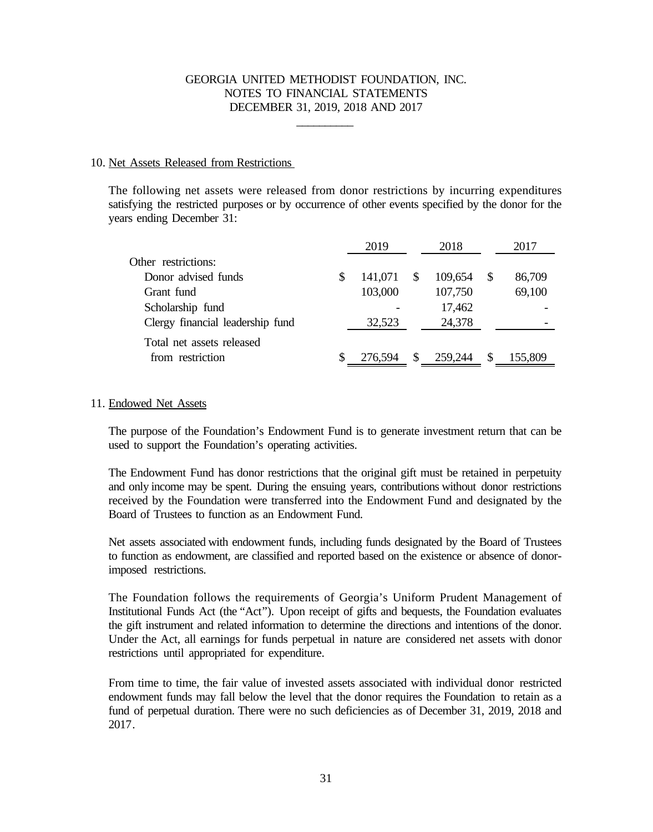\_\_\_\_\_\_\_\_\_\_

### 10. Net Assets Released from Restrictions

The following net assets were released from donor restrictions by incurring expenditures satisfying the restricted purposes or by occurrence of other events specified by the donor for the years ending December 31:

|   | 2019    |          | 2018    |          | 2017    |
|---|---------|----------|---------|----------|---------|
|   |         |          |         |          |         |
| S | 141,071 | -S       | 109,654 |          | 86,709  |
|   | 103,000 |          | 107,750 |          | 69,100  |
|   |         |          | 17,462  |          |         |
|   | 32,523  |          | 24,378  |          |         |
|   |         |          |         |          |         |
|   | 276,594 | <b>S</b> | 259,244 | <b>S</b> | 155,809 |
|   |         |          |         |          |         |

### 11. Endowed Net Assets

The purpose of the Foundation's Endowment Fund is to generate investment return that can be used to support the Foundation's operating activities.

The Endowment Fund has donor restrictions that the original gift must be retained in perpetuity and only income may be spent. During the ensuing years, contributions without donor restrictions received by the Foundation were transferred into the Endowment Fund and designated by the Board of Trustees to function as an Endowment Fund.

Net assets associated with endowment funds, including funds designated by the Board of Trustees to function as endowment, are classified and reported based on the existence or absence of donorimposed restrictions.

The Foundation follows the requirements of Georgia's Uniform Prudent Management of Institutional Funds Act (the "Act"). Upon receipt of gifts and bequests, the Foundation evaluates the gift instrument and related information to determine the directions and intentions of the donor. Under the Act, all earnings for funds perpetual in nature are considered net assets with donor restrictions until appropriated for expenditure.

From time to time, the fair value of invested assets associated with individual donor restricted endowment funds may fall below the level that the donor requires the Foundation to retain as a fund of perpetual duration. There were no such deficiencies as of December 31, 2019, 2018 and 2017.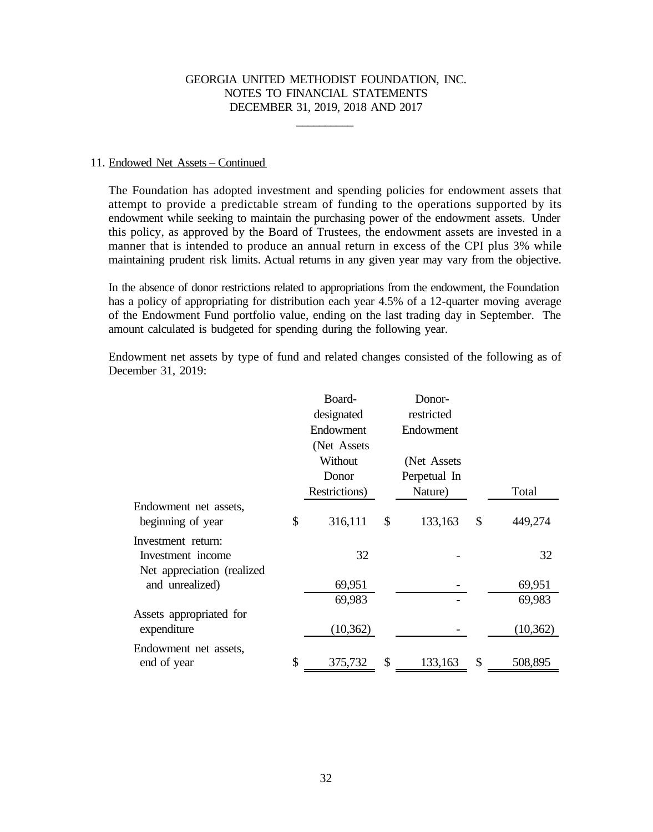\_\_\_\_\_\_\_\_\_\_

#### 11. Endowed Net Assets – Continued

The Foundation has adopted investment and spending policies for endowment assets that attempt to provide a predictable stream of funding to the operations supported by its endowment while seeking to maintain the purchasing power of the endowment assets. Under this policy, as approved by the Board of Trustees, the endowment assets are invested in a manner that is intended to produce an annual return in excess of the CPI plus 3% while maintaining prudent risk limits. Actual returns in any given year may vary from the objective.

In the absence of donor restrictions related to appropriations from the endowment, the Foundation has a policy of appropriating for distribution each year 4.5% of a 12-quarter moving average of the Endowment Fund portfolio value, ending on the last trading day in September. The amount calculated is budgeted for spending during the following year.

Endowment net assets by type of fund and related changes consisted of the following as of December 31, 2019:

|                                            | Board-        | Donor-        |               |
|--------------------------------------------|---------------|---------------|---------------|
|                                            | designated    | restricted    |               |
|                                            | Endowment     | Endowment     |               |
|                                            | (Net Assets   |               |               |
|                                            | Without       | (Net Assets)  |               |
|                                            | Donor         | Perpetual In  |               |
|                                            | Restrictions) | Nature)       | Total         |
| Endowment net assets,<br>beginning of year | \$<br>316,111 | \$<br>133,163 | \$<br>449,274 |
| Investment return:                         |               |               |               |
| Investment income                          | 32            |               | 32            |
| Net appreciation (realized)                |               |               |               |
| and unrealized)                            | 69,951        |               | 69,951        |
|                                            | 69,983        |               | 69,983        |
| Assets appropriated for                    |               |               |               |
| expenditure                                | (10, 362)     |               | (10, 362)     |
| Endowment net assets,                      |               |               |               |
| end of year                                | \$<br>375,732 | \$<br>133,163 | \$<br>508,895 |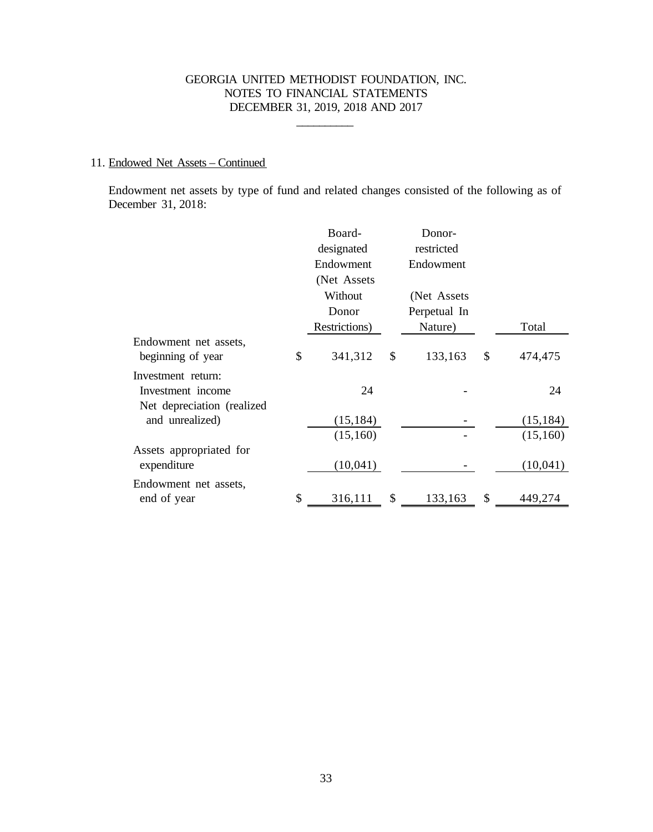\_\_\_\_\_\_\_\_\_\_

# 11. Endowed Net Assets – Continued

Endowment net assets by type of fund and related changes consisted of the following as of December 31, 2018:

|                             | Board-<br>designated | Donor-<br>restricted |               |
|-----------------------------|----------------------|----------------------|---------------|
|                             | Endowment            | Endowment            |               |
|                             | (Net Assets          |                      |               |
|                             | Without              | (Net Assets)         |               |
|                             | Donor                | Perpetual In         |               |
|                             | Restrictions)        | Nature)              | Total         |
| Endowment net assets,       |                      |                      |               |
| beginning of year           | \$<br>341,312        | \$<br>133,163        | \$<br>474,475 |
| Investment return:          |                      |                      |               |
| Investment income           | 24                   |                      | 24            |
| Net depreciation (realized) |                      |                      |               |
| and unrealized)             | (15, 184)            |                      | (15, 184)     |
|                             | (15,160)             |                      | (15,160)      |
| Assets appropriated for     |                      |                      |               |
| expenditure                 | (10,041)             |                      | (10,041)      |
| Endowment net assets,       |                      |                      |               |
| end of year                 | \$<br>316,111        | \$<br>133,163        | \$<br>449,274 |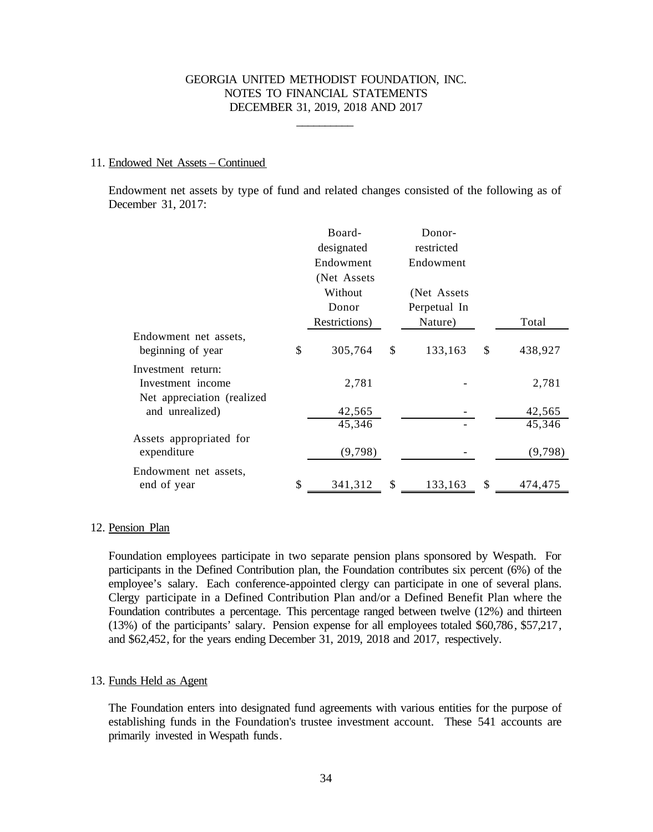\_\_\_\_\_\_\_\_\_\_

#### 11. Endowed Net Assets – Continued

Endowment net assets by type of fund and related changes consisted of the following as of December 31, 2017:

| Board-        |                       | Donor-       |                       |         |
|---------------|-----------------------|--------------|-----------------------|---------|
| Endowment     |                       | Endowment    |                       |         |
| (Net Assets)  |                       |              |                       |         |
| Without       |                       | (Net Assets) |                       |         |
| Donor         |                       | Perpetual In |                       |         |
| Restrictions) |                       | Nature)      |                       | Total   |
| \$<br>305,764 | \$                    | 133,163      | \$                    | 438,927 |
|               |                       |              |                       |         |
| 2,781         |                       |              |                       | 2,781   |
| 42,565        |                       |              |                       | 42,565  |
| 45,346        |                       |              |                       | 45,346  |
| (9,798)       |                       |              |                       | (9,798) |
|               |                       |              |                       | 474,475 |
| \$            | designated<br>341,312 | \$           | restricted<br>133,163 | \$      |

## 12. Pension Plan

Foundation employees participate in two separate pension plans sponsored by Wespath. For participants in the Defined Contribution plan, the Foundation contributes six percent (6%) of the employee's salary. Each conference-appointed clergy can participate in one of several plans. Clergy participate in a Defined Contribution Plan and/or a Defined Benefit Plan where the Foundation contributes a percentage. This percentage ranged between twelve (12%) and thirteen (13%) of the participants' salary. Pension expense for all employees totaled \$60,786, \$57,217, and \$62,452, for the years ending December 31, 2019, 2018 and 2017, respectively.

## 13. Funds Held as Agent

The Foundation enters into designated fund agreements with various entities for the purpose of establishing funds in the Foundation's trustee investment account. These 541 accounts are primarily invested in Wespath funds.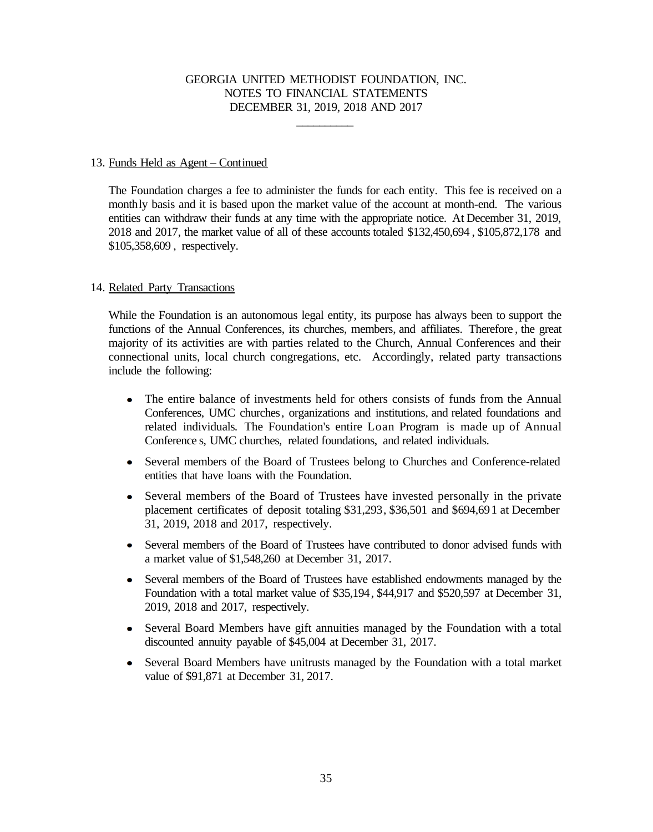\_\_\_\_\_\_\_\_\_\_

### 13. Funds Held as Agent – Continued

The Foundation charges a fee to administer the funds for each entity. This fee is received on a monthly basis and it is based upon the market value of the account at month-end. The various entities can withdraw their funds at any time with the appropriate notice. At December 31, 2019, 2018 and 2017, the market value of all of these accounts totaled \$132,450,694 , \$105,872,178 and \$105,358,609 , respectively.

## 14. Related Party Transactions

While the Foundation is an autonomous legal entity, its purpose has always been to support the functions of the Annual Conferences, its churches, members, and affiliates. Therefore , the great majority of its activities are with parties related to the Church, Annual Conferences and their connectional units, local church congregations, etc. Accordingly, related party transactions include the following:

- The entire balance of investments held for others consists of funds from the Annual Conferences, UMC churches, organizations and institutions, and related foundations and related individuals. The Foundation's entire Loan Program is made up of Annual Conference s, UMC churches, related foundations, and related individuals.
- Several members of the Board of Trustees belong to Churches and Conference-related entities that have loans with the Foundation.
- $\bullet$ Several members of the Board of Trustees have invested personally in the private placement certificates of deposit totaling \$31,293, \$36,501 and \$694,691 at December 31, 2019, 2018 and 2017, respectively.
- Several members of the Board of Trustees have contributed to donor advised funds with a market value of \$1,548,260 at December 31, 2017.
- Several members of the Board of Trustees have established endowments managed by the  $\bullet$ Foundation with a total market value of \$35,194, \$44,917 and \$520,597 at December 31, 2019, 2018 and 2017, respectively.
- Several Board Members have gift annuities managed by the Foundation with a total discounted annuity payable of \$45,004 at December 31, 2017.
- Several Board Members have unitrusts managed by the Foundation with a total market  $\bullet$ value of \$91,871 at December 31, 2017.